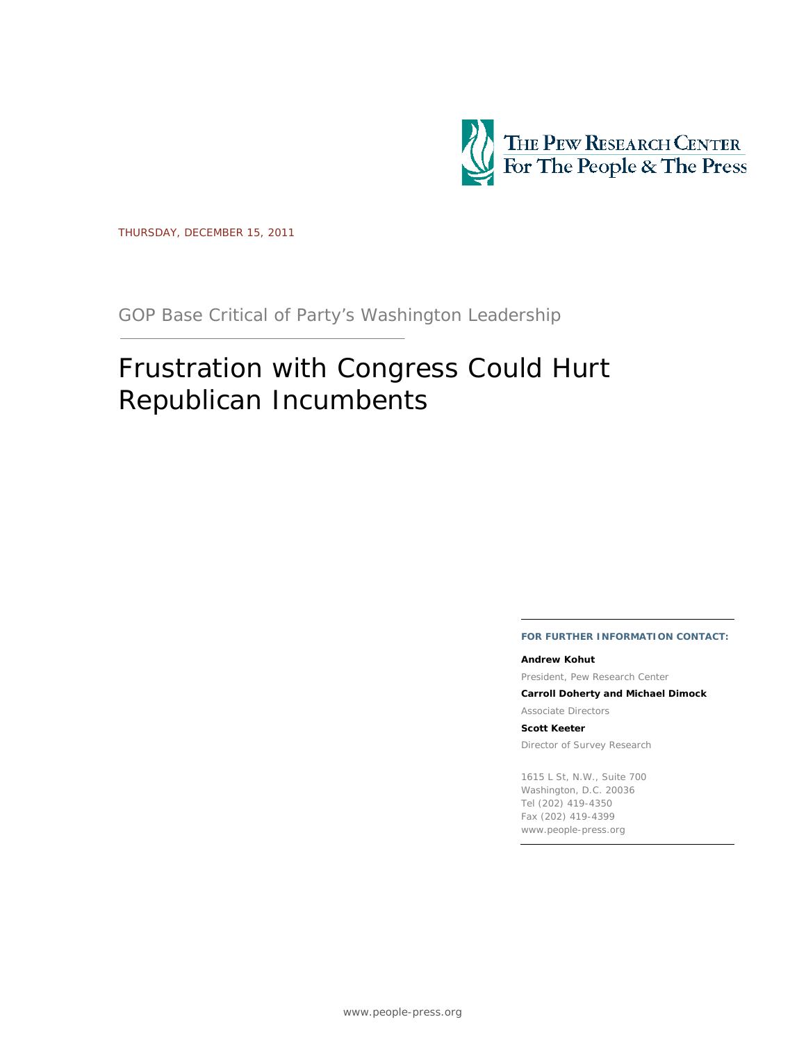

THURSDAY, DECEMBER 15, 2011

GOP Base Critical of Party's Washington Leadership

# Frustration with Congress Could Hurt Republican Incumbents

#### **FOR FURTHER INFORMATION CONTACT:**

#### **Andrew Kohut**

President, Pew Research Center

**Carroll Doherty and Michael Dimock** 

Associate Directors

**Scott Keeter** 

Director of Survey Research

1615 L St, N.W., Suite 700 Washington, D.C. 20036 Tel (202) 419-4350 Fax (202) 419-4399 www.people-press.org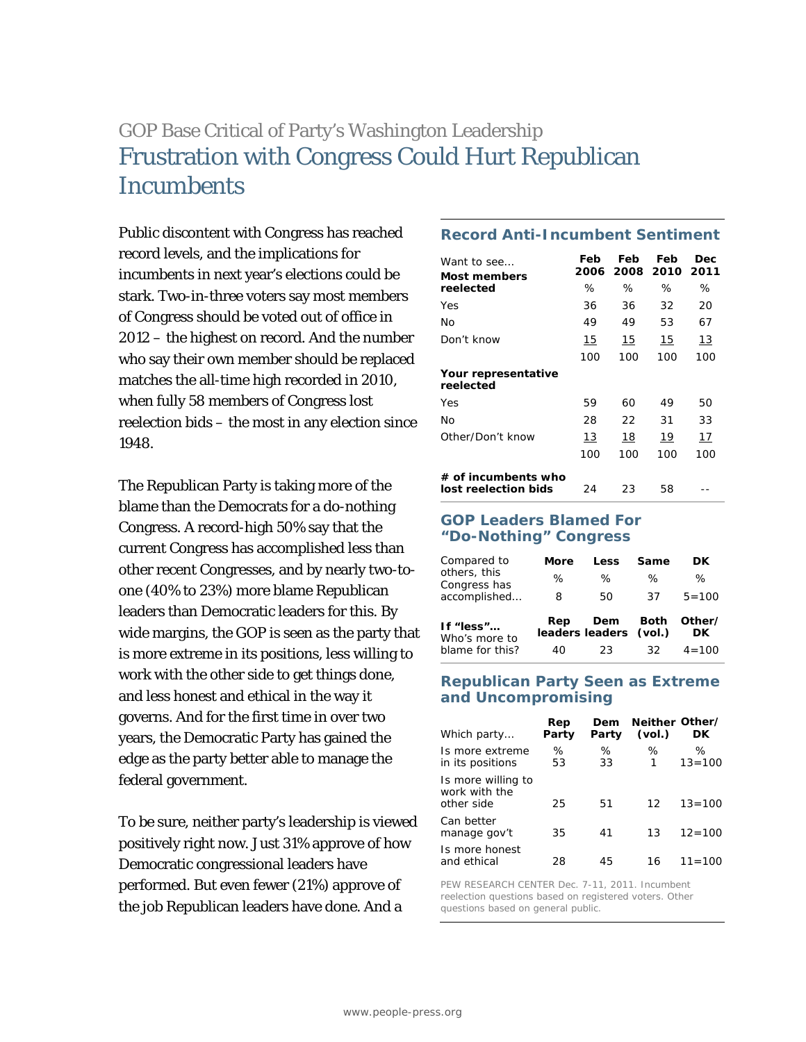# GOP Base Critical of Party's Washington Leadership Frustration with Congress Could Hurt Republican **Incumbents**

Public discontent with Congress has reached record levels, and the implications for incumbents in next year's elections could be stark. Two-in-three voters say most members of Congress should be voted out of office in 2012 – the highest on record. And the number who say their own member should be replaced matches the all-time high recorded in 2010, when fully 58 members of Congress lost reelection bids – the most in any election since 1948.

The Republican Party is taking more of the blame than the Democrats for a do-nothing Congress. A record-high 50% say that the current Congress has accomplished less than other recent Congresses, and by nearly two-toone (40% to 23%) more blame Republican leaders than Democratic leaders for this. By wide margins, the GOP is seen as the party that is more extreme in its positions, less willing to work with the other side to get things done, and less honest and ethical in the way it governs. And for the first time in over two years, the Democratic Party has gained the edge as the party better able to manage the federal government.

To be sure, neither party's leadership is viewed positively right now. Just 31% approve of how Democratic congressional leaders have performed. But even fewer (21%) approve of the job Republican leaders have done. And a

# **Record Anti-Incumbent Sentiment**

| Want to see<br>Most members                 | Feb<br>2006 | Feb<br>2008 | Feb<br>2010 | Dec<br>2011 |
|---------------------------------------------|-------------|-------------|-------------|-------------|
| reelected                                   | ℅           | ℅           | ℅           | ℅           |
| Yes                                         | 36          | 36          | 32          | 20          |
| No                                          | 49          | 49          | 53          | 67          |
| Don't know                                  | 15          | 15          | 15          | 13          |
|                                             | 100         | 100         | 100         | 100         |
| Your representative<br>reelected            |             |             |             |             |
| Yes                                         | 59          | 60          | 49          | 50          |
| No                                          | 28          | 22          | 31          | 33          |
| Other/Don't know                            | 13          | 18          | 19          | 17          |
|                                             | 100         | 100         | 100         | 100         |
| # of incumbents who<br>lost reelection bids | 24          | 23          | 58          |             |

#### **GOP Leaders Blamed For "Do-Nothing" Congress**

| Compared to<br>others, this<br>Congress has<br>accomplished | More<br>℅<br>8 | Less<br>℅<br>50               | Same<br>℅<br>37 | DK<br>℅<br>$5 = 100$ |
|-------------------------------------------------------------|----------------|-------------------------------|-----------------|----------------------|
| If "less"<br>Who's more to                                  | Rep            | Dem<br>leaders leaders (vol.) | <b>Both</b>     | Other/<br>DK         |
| blame for this?                                             | 40             | 23.                           | 32.             | $4 = 100$            |

#### **Republican Party Seen as Extreme and Uncompromising**

| Which party                                       | Rep<br>Party | Dem<br>Party | Neither Other/<br>(vol.) | DK              |
|---------------------------------------------------|--------------|--------------|--------------------------|-----------------|
| Is more extreme<br>in its positions               | ℅<br>53      | ℅<br>33      | ℅<br>1                   | ℅<br>$13 = 100$ |
| Is more willing to<br>work with the<br>other side | 25           | 51           | 12                       | $13 = 100$      |
| Can better<br>manage gov't                        | 35           | 41           | 13                       | $12 = 100$      |
| Is more honest<br>and ethical                     | 28           | 45           | 16                       | $11 = 100$      |

PEW RESEARCH CENTER Dec. 7-11, 2011. Incumbent reelection questions based on registered voters. Other questions based on general public.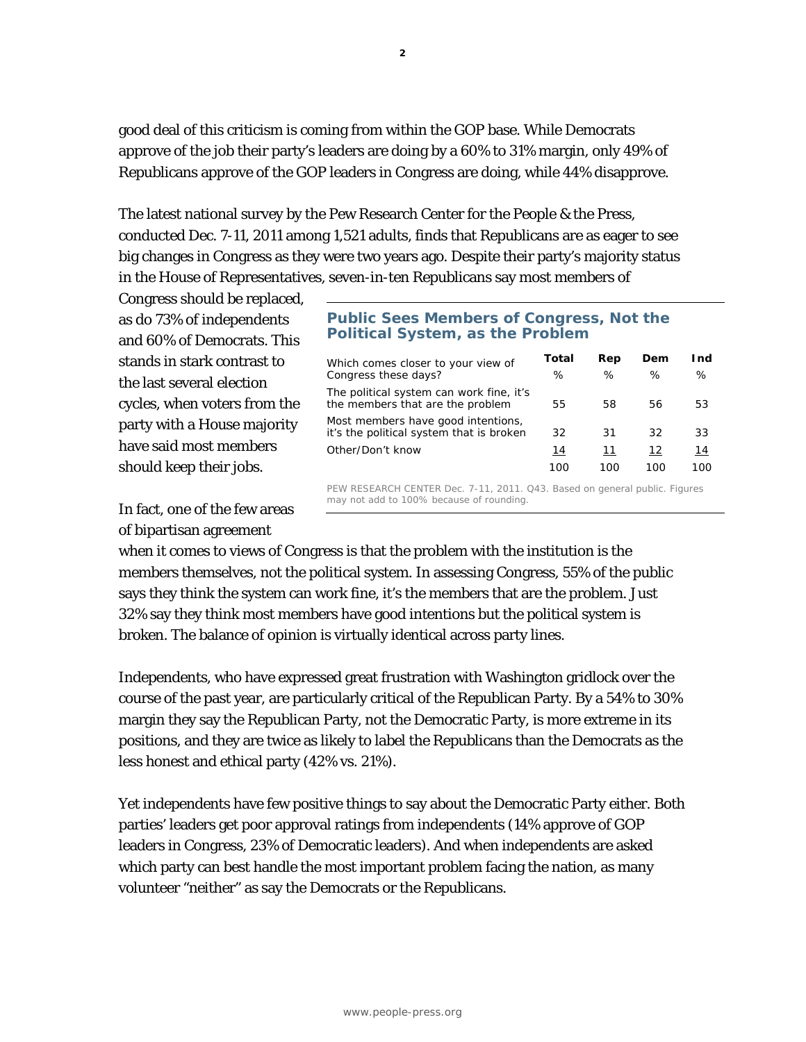good deal of this criticism is coming from within the GOP base. While Democrats approve of the job their party's leaders are doing by a 60% to 31% margin, only 49% of Republicans approve of the GOP leaders in Congress are doing, while 44% disapprove.

The latest national survey by the Pew Research Center for the People & the Press, conducted Dec. 7-11, 2011 among 1,521 adults, finds that Republicans are as eager to see big changes in Congress as they were two years ago. Despite their party's majority status in the House of Representatives, seven-in-ten Republicans say most members of

Congress should be replaced, as do 73% of independents and 60% of Democrats. This stands in stark contrast to the last several election cycles, when voters from the party with a House majority have said most members should keep their jobs.

In fact, one of the few areas of bipartisan agreement

### **Public Sees Members of Congress, Not the Political System, as the Problem**

| Which comes closer to your view of<br>Congress these days?                     | Total<br>℅ | Rep<br>% | Dem<br>℅ | l nd<br>℅ |
|--------------------------------------------------------------------------------|------------|----------|----------|-----------|
| The political system can work fine, it's<br>the members that are the problem   | 55         | 58       | 56       | 53        |
| Most members have good intentions,<br>it's the political system that is broken | 32         | 31       | 32       | 33        |
| Other/Don't know                                                               | 14         | 11       | 12       | 14        |
|                                                                                | 10C        | 1 N C    |          | 1ററ       |

PEW RESEARCH CENTER Dec. 7-11, 2011. Q43. Based on general public. Figures may not add to 100% because of rounding.

when it comes to views of Congress is that the problem with the institution is the members themselves, not the political system. In assessing Congress, 55% of the public says they think the system can work fine, it's the members that are the problem. Just 32% say they think most members have good intentions but the political system is broken. The balance of opinion is virtually identical across party lines.

Independents, who have expressed great frustration with Washington gridlock over the course of the past year, are particularly critical of the Republican Party. By a 54% to 30% margin they say the Republican Party, not the Democratic Party, is more extreme in its positions, and they are twice as likely to label the Republicans than the Democrats as the less honest and ethical party (42% vs. 21%).

Yet independents have few positive things to say about the Democratic Party either. Both parties' leaders get poor approval ratings from independents (14% approve of GOP leaders in Congress, 23% of Democratic leaders). And when independents are asked which party can best handle the most important problem facing the nation, as many volunteer "neither" as say the Democrats or the Republicans.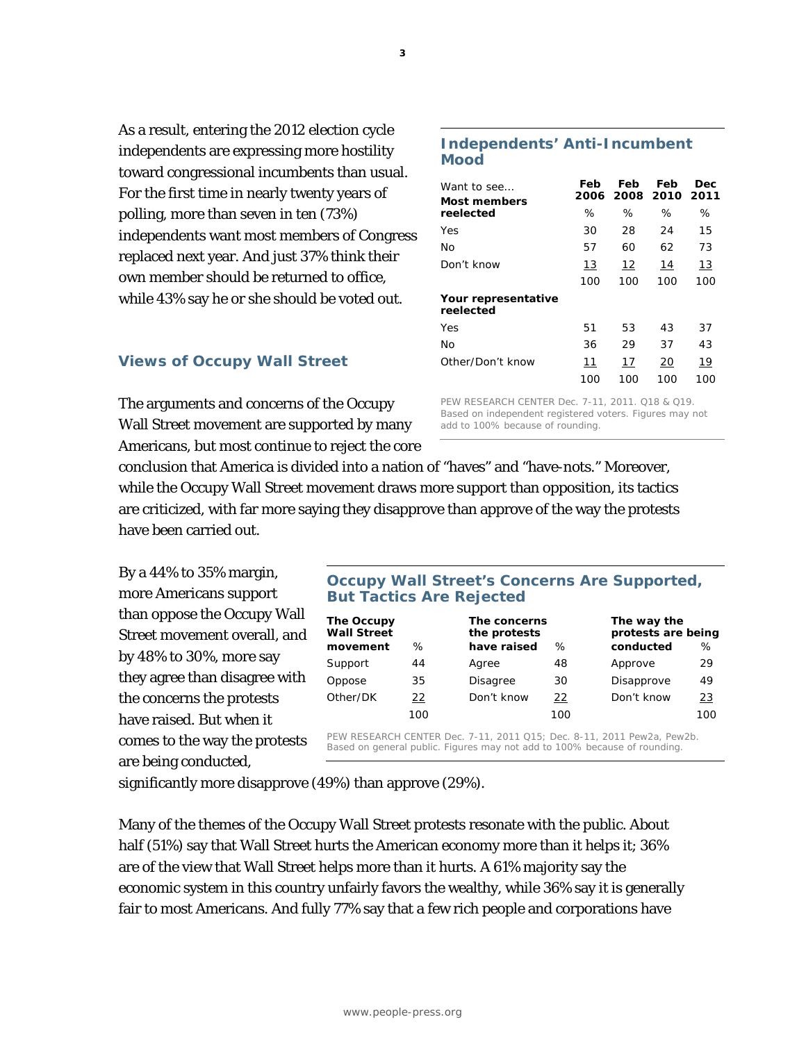**3**

As a result, entering the 2012 election cycle independents are expressing more hostility toward congressional incumbents than usual. For the first time in nearly twenty years of polling, more than seven in ten (73%) independents want most members of Congress replaced next year. And just 37% think their own member should be returned to office, while 43% say he or she should be voted out.

### **Views of Occupy Wall Street**

The arguments and concerns of the Occupy Wall Street movement are supported by many Americans, but most continue to reject the core

#### **Independents' Anti-Incumbent Mood**

| Want to see<br>Most members      | Feb<br>2006 | Feb | Feb<br>2008 2010 | Dec<br>2011 |
|----------------------------------|-------------|-----|------------------|-------------|
| reelected                        | ℅           | %   | ℅                | %           |
| Yes                              | 30          | 28  | 24               | 15          |
| No                               | 57          | 60  | 62               | 73          |
| Don't know                       | 13          | 12  | 14               | 13          |
|                                  | 100         | 100 | 100              | 100         |
| Your representative<br>reelected |             |     |                  |             |
| Yes                              | 51          | 53  | 43               | 37          |
| No                               | 36          | 29  | 37               | 43          |
| Other/Don't know                 | 11          | 17  | 20               | 19          |
|                                  | 100         | 100 | 100              | 100         |

PEW RESEARCH CENTER Dec. 7-11, 2011. Q18 & Q19. Based on independent registered voters. Figures may not add to 100% because of rounding.

conclusion that America is divided into a nation of "haves" and "have-nots." Moreover, while the Occupy Wall Street movement draws more support than opposition, its tactics are criticized, with far more saying they disapprove than approve of the way the protests have been carried out.

By a 44% to 35% margin, more Americans support than oppose the Occupy Wall Street movement overall, and by 48% to 30%, more say they agree than disagree with the concerns the protests have raised. But when it comes to the way the protests are being conducted,

### **Occupy Wall Street's Concerns Are Supported, But Tactics Are Rejected**

| The Occupy<br><b>Wall Street</b><br>movement | ℅   | The concerns<br>the protests<br>have raised | $\%$ | The way the<br>protests are being<br>conducted | ℅         |
|----------------------------------------------|-----|---------------------------------------------|------|------------------------------------------------|-----------|
| Support                                      | 44  | Agree                                       | 48   | Approve                                        | 29        |
| Oppose                                       | 35  | <b>Disagree</b>                             | 30   | Disapprove                                     | 49        |
| Other/DK                                     | 22  | Don't know                                  | 22   | Don't know                                     | <u>23</u> |
|                                              | 100 |                                             | 100  |                                                | 100       |

PEW RESEARCH CENTER Dec. 7-11, 2011 Q15; Dec. 8-11, 2011 Pew2a, Pew2b. Based on general public. Figures may not add to 100% because of rounding.

significantly more disapprove (49%) than approve (29%).

Many of the themes of the Occupy Wall Street protests resonate with the public. About half (51%) say that Wall Street hurts the American economy more than it helps it; 36% are of the view that Wall Street helps more than it hurts. A 61% majority say the economic system in this country unfairly favors the wealthy, while 36% say it is generally fair to most Americans. And fully 77% say that a few rich people and corporations have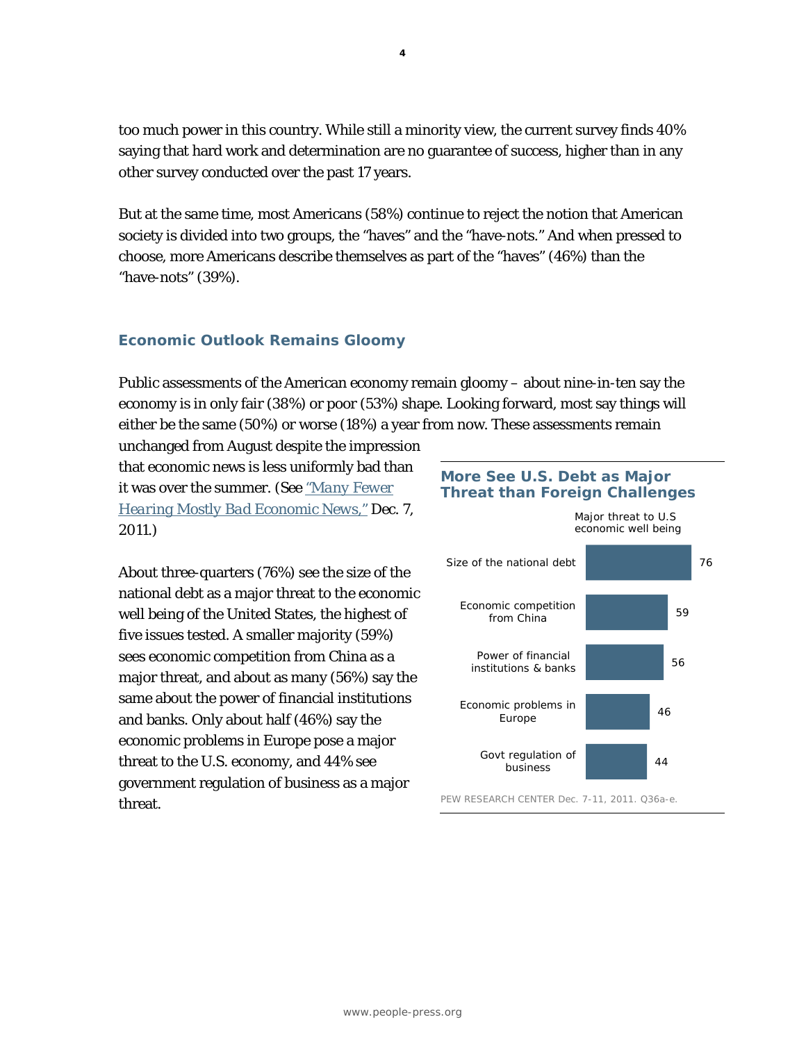too much power in this country. While still a minority view, the current survey finds 40% saying that hard work and determination are no guarantee of success, higher than in any other survey conducted over the past 17 years.

But at the same time, most Americans (58%) continue to reject the notion that American society is divided into two groups, the "haves" and the "have-nots." And when pressed to choose, more Americans describe themselves as part of the "haves" (46%) than the "have-nots" (39%).

### **Economic Outlook Remains Gloomy**

Public assessments of the American economy remain gloomy – about nine-in-ten say the economy is in only fair (38%) or poor (53%) shape. Looking forward, most say things will either be the same (50%) or worse (18%) a year from now. These assessments remain

unchanged from August despite the impression that economic news is less uniformly bad than it was over the summer. *(See "Many Fewer [Hearing Mostly Bad Economic News,"](http://www.people-press.org/2011/12/07/many-fewer-hearing-mostly-bad-economic-news/) Dec. 7, 2011.)* 

About three-quarters (76%) see the size of the national debt as a major threat to the economic well being of the United States, the highest of five issues tested. A smaller majority (59%) sees economic competition from China as a major threat, and about as many (56%) say the same about the power of financial institutions and banks. Only about half (46%) say the economic problems in Europe pose a major threat to the U.S. economy, and 44% see government regulation of business as a major threat.

# **More See U.S. Debt as Major Threat than Foreign Challenges**

*Major threat to U.S economic well being* 



PEW RESEARCH CENTER Dec. 7-11, 2011. Q36a-e.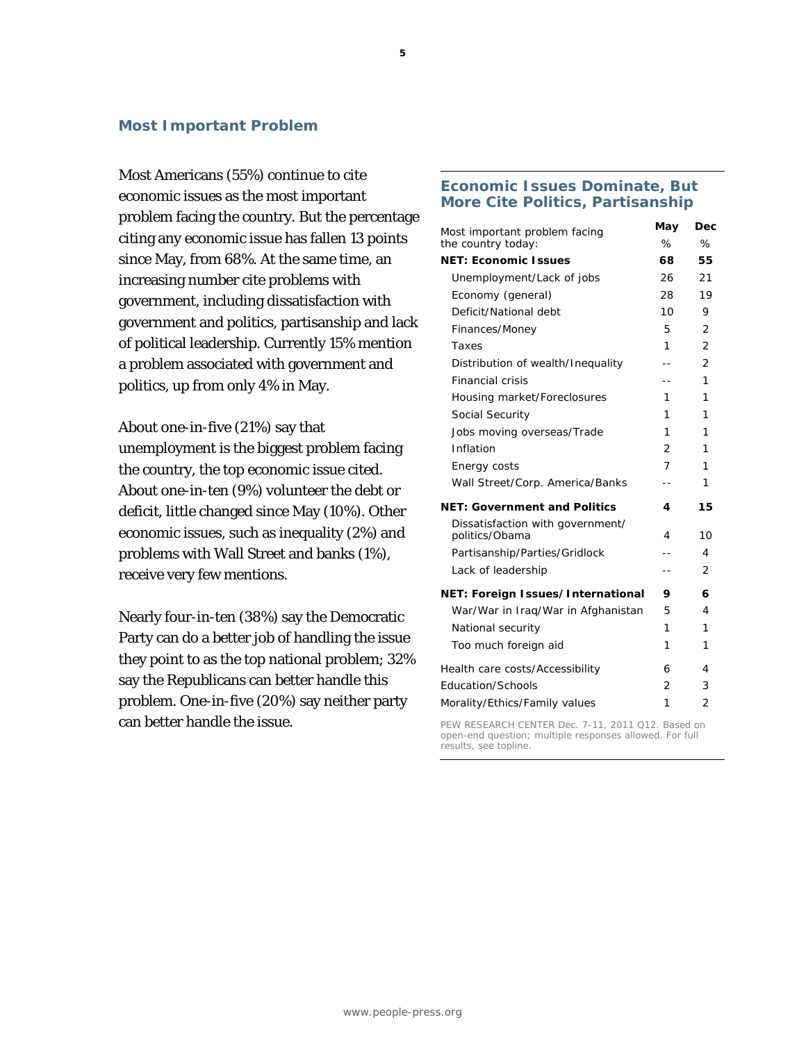#### **Most Important Problem**

Most Americans (55%) continue to cite economic issues as the most important problem facing the country. But the percentage citing any economic issue has fallen 13 points since May, from 68%. At the same time, an increasing number cite problems with government, including dissatisfaction with government and politics, partisanship and lack of political leadership. Currently 15% mention a problem associated with government and politics, up from only 4% in May.

About one-in-five (21%) say that unemployment is the biggest problem facing the country, the top economic issue cited. About one-in-ten (9%) volunteer the debt or deficit, little changed since May (10%). Other economic issues, such as inequality (2%) and problems with Wall Street and banks (1%), receive very few mentions.

Nearly four-in-ten (38%) say the Democratic Party can do a better job of handling the issue they point to as the top national problem; 32% say the Republicans can better handle this problem. One-in-five (20%) say neither party can better handle the issue.

#### **Economic Issues Dominate, But More Cite Politics, Partisanship**

| Most important problem facing                      | May            | Dec            |
|----------------------------------------------------|----------------|----------------|
| the country today:                                 | %              | %              |
| <b>NET: Economic Issues</b>                        | 68             | 55             |
| Unemployment/Lack of jobs                          | 26             | 21             |
| Economy (general)                                  | 28             | 19             |
| Deficit/National debt                              | 10             | 9              |
| Finances/Money                                     | 5.             | $\overline{2}$ |
| Taxes                                              | 1              | $\overline{2}$ |
| Distribution of wealth/Inequality                  | --             | $\overline{2}$ |
| <b>Financial crisis</b>                            | --             | 1              |
| Housing market/Foreclosures                        | 1              | 1              |
| Social Security                                    | 1              | 1              |
| Jobs moving overseas/Trade                         | 1              | 1              |
| Inflation                                          | $\overline{2}$ | 1              |
| Energy costs                                       | 7              | 1              |
| Wall Street/Corp. America/Banks                    | $ -$           | 1              |
| <b>NET: Government and Politics</b>                | 4              | 15             |
| Dissatisfaction with government/<br>politics/Obama | 4              | 10             |
| Partisanship/Parties/Gridlock                      | $-1$           | 4              |
| Lack of leadership                                 | $ -$           | 2              |
| NET: Foreign Issues/International                  | 9              | 6              |
| War/War in Iraq/War in Afghanistan                 | 5              | 4              |
| National security                                  | 1              | 1              |
| Too much foreign aid                               | 1              | 1              |
| Health care costs/Accessibility                    | 6              | 4              |
| Education/Schools                                  | $\overline{2}$ | 3              |
| Morality/Ethics/Family values                      | 1              | $\overline{2}$ |

PEW RESEARCH CENTER Dec. 7-11, 2011 Q12. Based on open-end question; multiple responses allowed. For full results, see topline.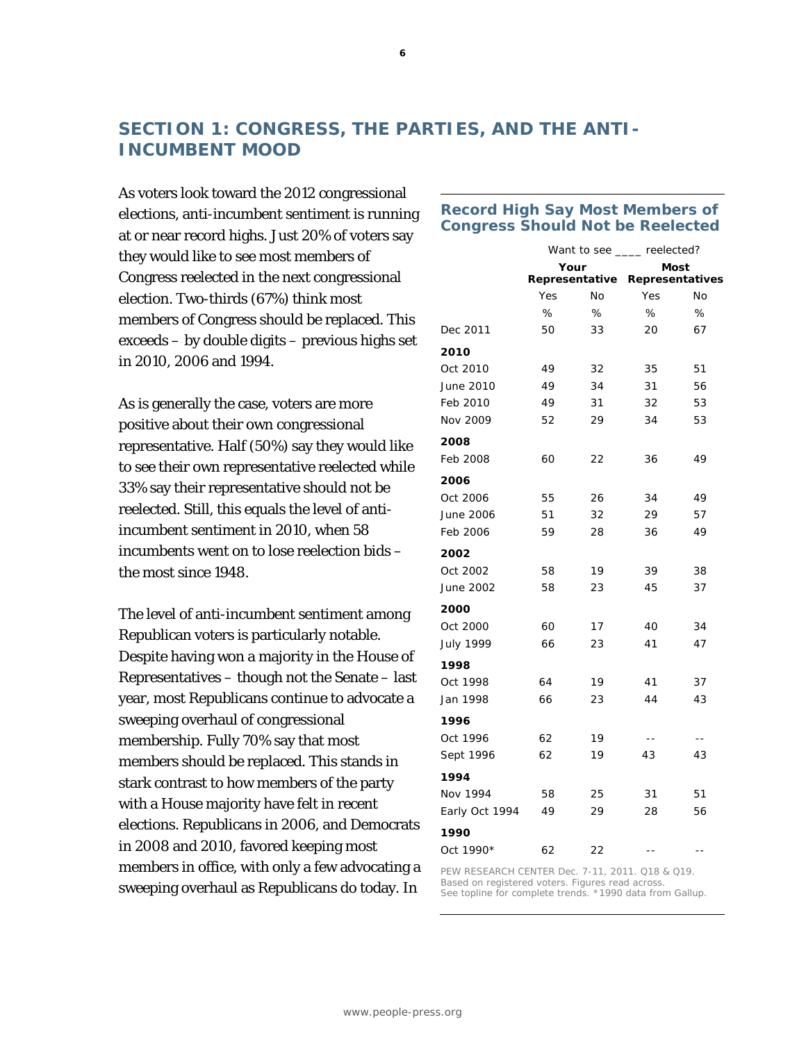# **SECTION 1: CONGRESS, THE PARTIES, AND THE ANTI-INCUMBENT MOOD**

As voters look toward the 2012 congressional elections, anti-incumbent sentiment is running at or near record highs. Just 20% of voters say they would like to see most members of Congress reelected in the next congressional election. Two-thirds (67%) think most members of Congress should be replaced. This exceeds – by double digits – previous highs set in 2010, 2006 and 1994.

As is generally the case, voters are more positive about their own congressional representative. Half (50%) say they would like to see their own representative reelected while 33% say their representative should not be reelected. Still, this equals the level of antiincumbent sentiment in 2010, when 58 incumbents went on to lose reelection bids – the most since 1948.

The level of anti-incumbent sentiment among Republican voters is particularly notable. Despite having won a majority in the House of Representatives – though not the Senate – last year, most Republicans continue to advocate a sweeping overhaul of congressional membership. Fully 70% say that most members should be replaced. This stands in stark contrast to how members of the party with a House majority have felt in recent elections. Republicans in 2006, and Democrats in 2008 and 2010, favored keeping most members in office, with only a few advocating a sweeping overhaul as Republicans do today. In

### **Record High Say Most Members of Congress Should Not be Reelected**

|                | Your |    | Want to see ____ reelected?<br>Most |    |  |
|----------------|------|----|-------------------------------------|----|--|
|                |      |    |                                     |    |  |
|                |      |    | Representative Representatives      |    |  |
|                | Yes  | No | Yes                                 | No |  |
|                | %    | %  | %                                   | %  |  |
| Dec 2011       | 50   | 33 | 20                                  | 67 |  |
| 2010           |      |    |                                     |    |  |
| Oct 2010       | 49   | 32 | 35                                  | 51 |  |
| June 2010      | 49   | 34 | 31                                  | 56 |  |
| Feb 2010       | 49   | 31 | 32                                  | 53 |  |
| Nov 2009       | 52   | 29 | 34                                  | 53 |  |
| 2008           |      |    |                                     |    |  |
| Feb 2008       | 60   | 22 | 36                                  | 49 |  |
| 2006           |      |    |                                     |    |  |
| Oct 2006       | 55   | 26 | 34                                  | 49 |  |
| June 2006      | 51   | 32 | 29                                  | 57 |  |
| Feb 2006       | 59   | 28 | 36                                  | 49 |  |
| 2002           |      |    |                                     |    |  |
| Oct 2002       | 58   | 19 | 39                                  | 38 |  |
| June 2002      | 58   | 23 | 45                                  | 37 |  |
| 2000           |      |    |                                     |    |  |
| Oct 2000       | 60   | 17 | 40                                  | 34 |  |
| July 1999      | 66   | 23 | 41                                  | 47 |  |
| 1998           |      |    |                                     |    |  |
| Oct 1998       | 64   | 19 | 41                                  | 37 |  |
| Jan 1998       | 66   | 23 | 44                                  | 43 |  |
| 1996           |      |    |                                     |    |  |
| Oct 1996       | 62   | 19 | $ -$                                | -- |  |
| Sept 1996      | 62   | 19 | 43                                  | 43 |  |
| 1994           |      |    |                                     |    |  |
| Nov 1994       | 58   | 25 | 31                                  | 51 |  |
| Early Oct 1994 | 49   | 29 | 28                                  | 56 |  |
| 1990           |      |    |                                     |    |  |
| Oct 1990*      | 62   | 22 | $-$                                 |    |  |
|                |      |    |                                     |    |  |

PEW RESEARCH CENTER Dec. 7-11, 2011. Q18 & Q19. Based on registered voters. Figures read across. See topline for complete trends. \*1990 data from Gallup.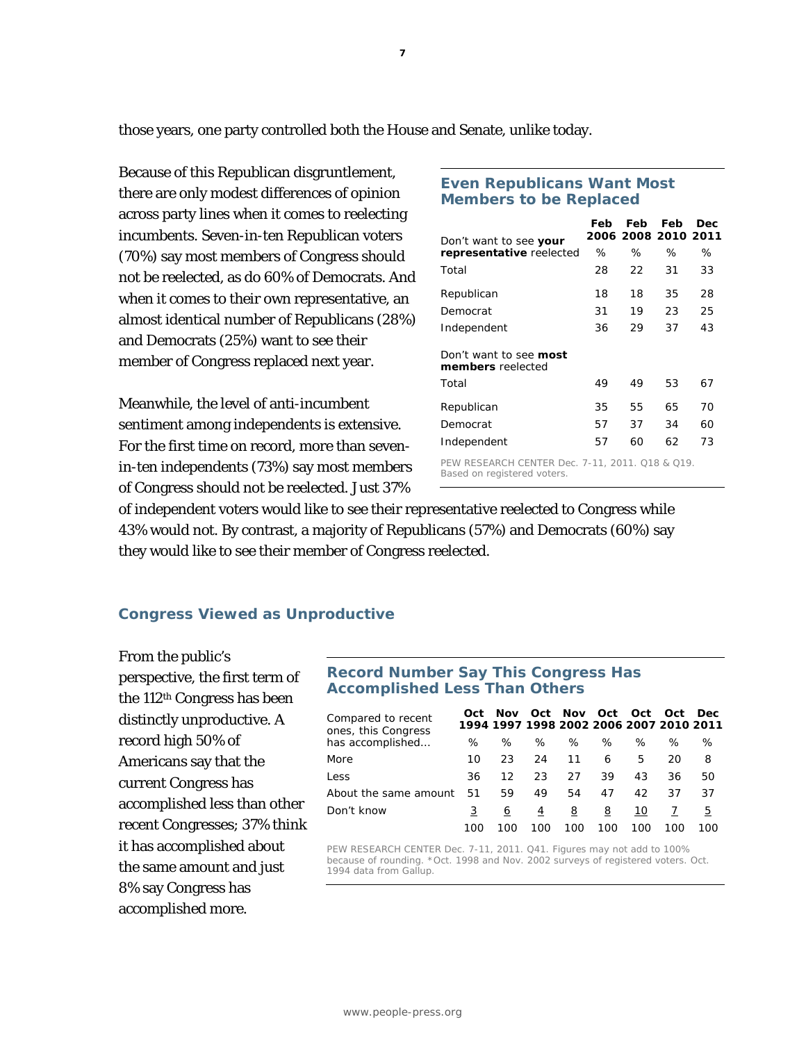those years, one party controlled both the House and Senate, unlike today.

Because of this Republican disgruntlement, there are only modest differences of opinion across party lines when it comes to reelecting incumbents. Seven-in-ten Republican voters (70%) say most members of Congress should not be reelected, as do 60% of Democrats. And when it comes to their own representative, an almost identical number of Republicans (28%) and Democrats (25%) want to see their member of Congress replaced next year.

Meanwhile, the level of anti-incumbent sentiment among independents is extensive. For the first time on record, more than sevenin-ten independents (73%) say most members of Congress should not be reelected. Just 37%

#### **Even Republicans Want Most Members to be Replaced**

| Don't want to see <b>your</b>                             | Feb | Feb | Feb<br>2006 2008 2010 2011 | Dec |
|-----------------------------------------------------------|-----|-----|----------------------------|-----|
| representative reelected                                  | ℅   | ℅   | ℅                          | ℅   |
| Total                                                     | 28  | 22  | 31                         | 33  |
| Republican                                                | 18  | 18  | 35                         | 28  |
| Democrat                                                  | 31  | 19  | 23                         | 25  |
| Independent                                               | 36  | 29  | 37                         | 43  |
| <i>Don't want to see <b>most</b></i><br>members reelected |     |     |                            |     |
| Total                                                     | 49  | 49  | 53                         | 67  |
| Republican                                                | 35  | 55  | 65                         | 70  |
| Democrat                                                  | 57  | 37  | 34                         | 60  |
| Independent                                               | 57  | 60  | 62                         | 73  |

PEW RESEARCH CENTER Dec. 7-11, 2011. Q18 & Q19. Based on registered voters.

of independent voters would like to see their representative reelected to Congress while 43% would not. By contrast, a majority of Republicans (57%) and Democrats (60%) say they would like to see their member of Congress reelected.

### **Congress Viewed as Unproductive**

From the public's perspective, the first term of the 112th Congress has been distinctly unproductive. A record high 50% of Americans say that the current Congress has accomplished less than other recent Congresses; 37% think it has accomplished about the same amount and just 8% say Congress has accomplished more.

#### **Record Number Say This Congress Has Accomplished Less Than Others**

| Compared to recent<br>ones, this Congress | Oct | Nov.<br>1994 1997 1998 2002 2006 2007 2010 2011 |     | Oct Nov Oct |     | Oct | Oct | Dec. |
|-------------------------------------------|-----|-------------------------------------------------|-----|-------------|-----|-----|-----|------|
| has accomplished                          | ℅   | %                                               | ℅   | ℅           | ℅   | ℅   | ℅   | ℅    |
| More                                      | 10  | 23                                              | 24  | 11          | 6   | 5   | 20  | 8    |
| Less                                      | 36  | 12                                              | 23  | 27          | 39  | 43  | 36  | 50   |
| About the same amount                     | 51  | 59                                              | 49  | 54          | 47  | 42  | 37  | 37   |
| Don't know                                |     | 6                                               | 4   | 8           | 8   | 10  |     | 5    |
|                                           | 100 | 100                                             | 100 | 100         | 100 | 100 | 100 | 100  |

PEW RESEARCH CENTER Dec. 7-11, 2011. Q41. Figures may not add to 100% because of rounding. \*Oct. 1998 and Nov. 2002 surveys of registered voters. Oct. 1994 data from Gallup.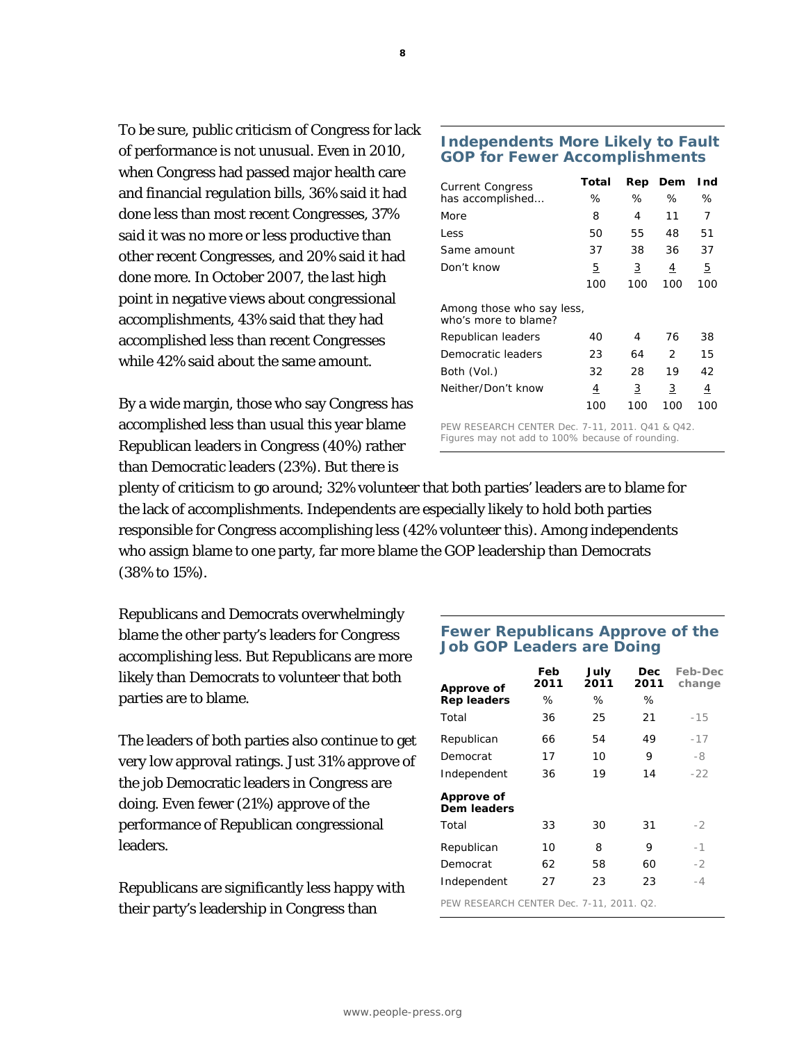To be sure, public criticism of Congress for lack of performance is not unusual. Even in 2010, when Congress had passed major health care and financial regulation bills, 36% said it had done less than most recent Congresses, 37% said it was no more or less productive than other recent Congresses, and 20% said it had done more. In October 2007, the last high point in negative views about congressional accomplishments, 43% said that they had accomplished less than recent Congresses while 42% said about the same amount.

By a wide margin, those who say Congress has accomplished less than usual this year blame Republican leaders in Congress (40%) rather than Democratic leaders (23%). But there is

#### **Independents More Likely to Fault GOP for Fewer Accomplishments**

| <b>Current Congress</b>                           | Total | Rep | Dem           | Ind |
|---------------------------------------------------|-------|-----|---------------|-----|
| has accomplished                                  | ℅     | %   | ℅             | ℅   |
| More                                              | 8     | 4   | 11            | 7   |
| Less                                              | 50    | 55  | 48            | 51  |
| Same amount                                       | 37    | 38  | 36            | 37  |
| Don't know                                        | 5     | 3   | 4             | 5   |
|                                                   | 100   | 100 | 100           | 100 |
| Among those who say less,<br>who's more to blame? |       |     |               |     |
| Republican leaders                                | 40    | 4   | 76            | 38  |
| Democratic leaders                                | 23    | 64  | $\mathcal{P}$ | 15  |
| Both (Vol.)                                       | 32    | 28  | 19            | 42  |
| Neither/Don't know                                | 4     | 3   | 3             | 4   |
|                                                   | 100   | 100 | 100           | 100 |

PEW RESEARCH CENTER Dec. 7-11, 2011. Q41 & Q42. Figures may not add to 100% because of rounding.

plenty of criticism to go around; 32% volunteer that both parties' leaders are to blame for the lack of accomplishments. Independents are especially likely to hold both parties responsible for Congress accomplishing less (42% volunteer this). Among independents who assign blame to one party, far more blame the GOP leadership than Democrats (38% to 15%).

Republicans and Democrats overwhelmingly blame the other party's leaders for Congress accomplishing less. But Republicans are more likely than Democrats to volunteer that both parties are to blame.

The leaders of both parties also continue to get very low approval ratings. Just 31% approve of the job Democratic leaders in Congress are doing. Even fewer (21%) approve of the performance of Republican congressional leaders.

Republicans are significantly less happy with their party's leadership in Congress than

### **Fewer Republicans Approve of the Job GOP Leaders are Doing**

| Approve of                               | Feb<br>2011 | July<br>2011 | Dec<br>2011 | Feb-Dec<br>change |  |  |  |
|------------------------------------------|-------------|--------------|-------------|-------------------|--|--|--|
| <b>Rep leaders</b>                       | ℅           | ℅            | ℅           |                   |  |  |  |
| Total                                    | 36          | 25           | 21          | $-15$             |  |  |  |
| Republican                               | 66          | 54           | 49          | $-17$             |  |  |  |
| Democrat                                 | 17          | 10           | 9           | -8                |  |  |  |
| Independent                              | 36          | 19           | 14          | $-22$             |  |  |  |
| Approve of<br><b>Dem leaders</b>         |             |              |             |                   |  |  |  |
| Total                                    | 33          | 30           | 31          | $-2$              |  |  |  |
| Republican                               | 10          | 8            | 9           | $-1$              |  |  |  |
| Democrat                                 | 62          | 58           | 60          | $-2$              |  |  |  |
| Independent                              | 27          | 23           | 23          | $-4$              |  |  |  |
| PEW RESEARCH CENTER Dec. 7-11, 2011. Q2. |             |              |             |                   |  |  |  |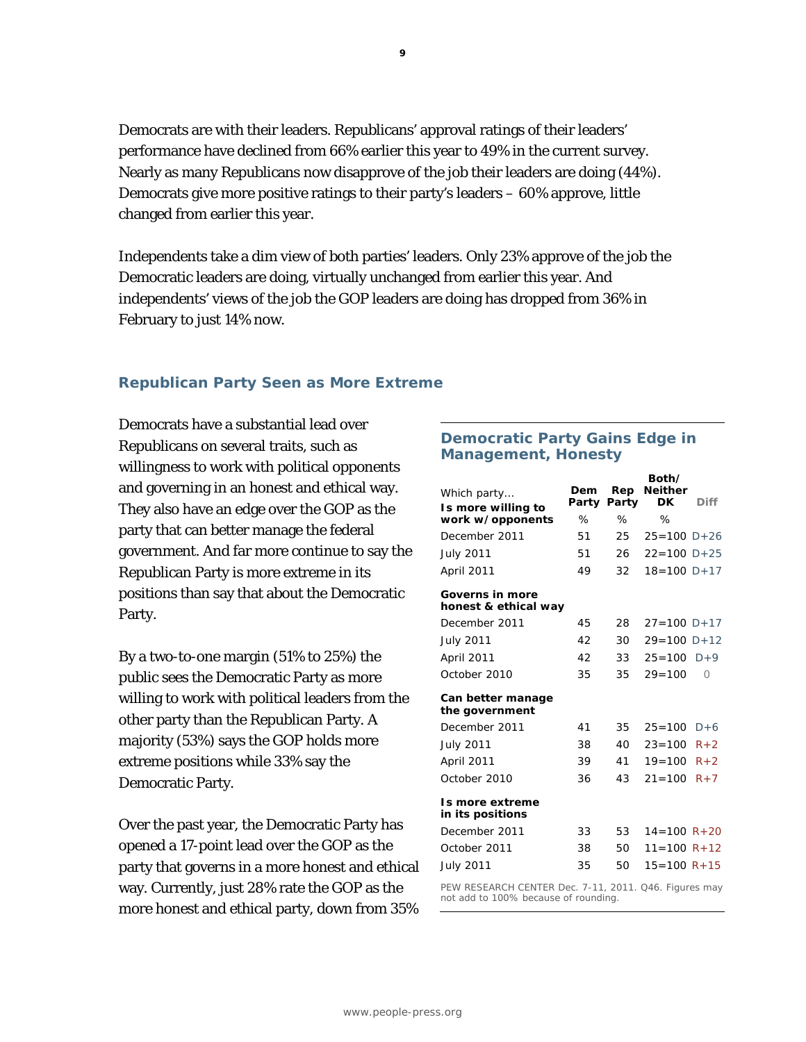Democrats are with their leaders. Republicans' approval ratings of their leaders' performance have declined from 66% earlier this year to 49% in the current survey. Nearly as many Republicans now disapprove of the job their leaders are doing (44%). Democrats give more positive ratings to their party's leaders – 60% approve, little changed from earlier this year.

Independents take a dim view of both parties' leaders. Only 23% approve of the job the Democratic leaders are doing, virtually unchanged from earlier this year. And independents' views of the job the GOP leaders are doing has dropped from 36% in February to just 14% now.

# **Republican Party Seen as More Extreme**

Democrats have a substantial lead over Republicans on several traits, such as willingness to work with political opponents and governing in an honest and ethical way. They also have an edge over the GOP as the party that can better manage the federal government. And far more continue to say the Republican Party is more extreme in its positions than say that about the Democratic Party.

By a two-to-one margin (51% to 25%) the public sees the Democratic Party as more willing to work with political leaders from the other party than the Republican Party. A majority (53%) says the GOP holds more extreme positions while 33% say the Democratic Party.

Over the past year, the Democratic Party has opened a 17-point lead over the GOP as the party that governs in a more honest and ethical way. Currently, just 28% rate the GOP as the more honest and ethical party, down from 35%

# **Democratic Party Gains Edge in Management, Honesty**

| Which party<br>Is more willing to                                                             | Dem<br>Party | Rep<br>Party | Both/<br><b>Neither</b><br>DK | <b>Diff</b> |  |  |
|-----------------------------------------------------------------------------------------------|--------------|--------------|-------------------------------|-------------|--|--|
| work w/opponents                                                                              | %            | %            | %                             |             |  |  |
| December 2011                                                                                 | 51           | 25           | $25 = 100 D + 26$             |             |  |  |
| <b>July 2011</b>                                                                              | 51           | 26           | $22 = 100$ D + 25             |             |  |  |
| April 2011                                                                                    | 49           | 32           | $18 = 100 D + 17$             |             |  |  |
| Governs in more<br>honest & ethical way                                                       |              |              |                               |             |  |  |
| December 2011                                                                                 | 45           | 28           | $27 = 100 D + 17$             |             |  |  |
| <b>July 2011</b>                                                                              | 42           | 30           | $29 = 100 D + 12$             |             |  |  |
| April 2011                                                                                    | 42           | 33           | $25 = 100$ D+9                |             |  |  |
| October 2010                                                                                  | 35           | 35           | $29 = 100$                    | Ω           |  |  |
| Can better manage<br>the government                                                           |              |              |                               |             |  |  |
| December 2011                                                                                 | 41           | 35           | $25 = 100$ D+6                |             |  |  |
| <b>July 2011</b>                                                                              | 38           | 40           | $23 = 100$                    | $R + 2$     |  |  |
| April 2011                                                                                    | 39           | 41           | $19 = 100$                    | $R+2$       |  |  |
| October 2010                                                                                  | 36           | 43           | $21 = 100$                    | $R + 7$     |  |  |
| Is more extreme<br>in its positions                                                           |              |              |                               |             |  |  |
| December 2011                                                                                 | 33           | 53           | $14 = 100 R + 20$             |             |  |  |
| October 2011                                                                                  | 38           | 50           | $11 = 100 R + 12$             |             |  |  |
| <b>July 2011</b>                                                                              | 35           | 50           | $15 = 100 R + 15$             |             |  |  |
| PEW RESEARCH CENTER Dec. 7-11, 2011. Q46. Figures may<br>not add to 100% because of rounding. |              |              |                               |             |  |  |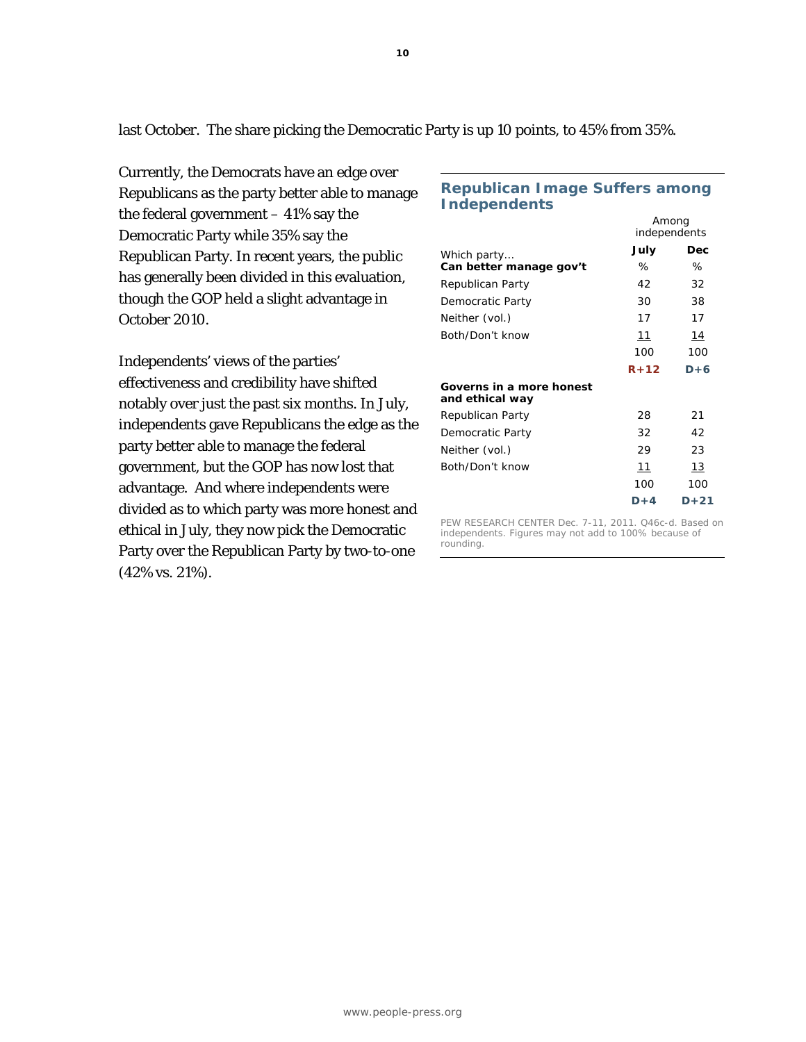last October. The share picking the Democratic Party is up 10 points, to 45% from 35%.

Currently, the Democrats have an edge over Republicans as the party better able to manage the federal government  $-41\%$  say the Democratic Party while 35% say the Republican Party. In recent years, the public has generally been divided in this evaluation, though the GOP held a slight advantage in October 2010.

Independents' views of the parties' effectiveness and credibility have shifted notably over just the past six months. In July, independents gave Republicans the edge as the party better able to manage the federal government, but the GOP has now lost that advantage. And where independents were divided as to which party was more honest and ethical in July, they now pick the Democratic Party over the Republican Party by two-to-one (42% vs. 21%).

#### **Republican Image Suffers among Independents**

|                                             | Among<br>independents |            |
|---------------------------------------------|-----------------------|------------|
| Which party                                 | July                  | Dec        |
| Can better manage gov't                     | ℅                     | ℅          |
| Republican Party                            | 42                    | 32         |
| Democratic Party                            | 30                    | 38         |
| Neither (vol.)                              | 17                    | 17         |
| Both/Don't know                             | 11                    | <u> 14</u> |
|                                             | 100                   | 100        |
|                                             | $R + 12$              | $D+6$      |
| Governs in a more honest<br>and ethical way |                       |            |
| Republican Party                            | 28                    | 21         |
| Democratic Party                            | 32                    | 42         |
| Neither (vol.)                              | 29                    | 23         |
| Both/Don't know                             | 11                    | 13         |
|                                             | 100                   | 100        |
|                                             | D+4                   | $D+21$     |

PEW RESEARCH CENTER Dec. 7-11, 2011. Q46c-d. Based on independents. Figures may not add to 100% because of rounding.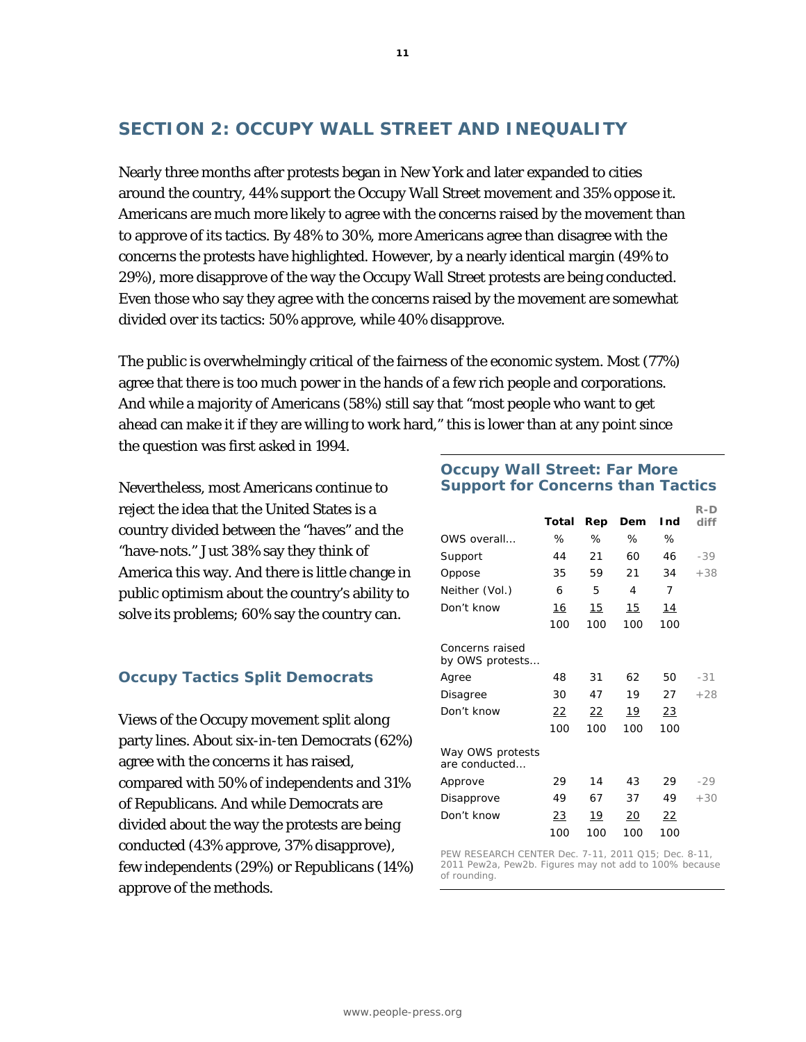# **SECTION 2: OCCUPY WALL STREET AND INEQUALITY**

Nearly three months after protests began in New York and later expanded to cities around the country, 44% support the Occupy Wall Street movement and 35% oppose it. Americans are much more likely to agree with the concerns raised by the movement than to approve of its tactics. By 48% to 30%, more Americans agree than disagree with the concerns the protests have highlighted. However, by a nearly identical margin (49% to 29%), more disapprove of the way the Occupy Wall Street protests are being conducted. Even those who say they agree with the concerns raised by the movement are somewhat divided over its tactics: 50% approve, while 40% disapprove.

The public is overwhelmingly critical of the fairness of the economic system. Most (77%) agree that there is too much power in the hands of a few rich people and corporations. And while a majority of Americans (58%) still say that "most people who want to get ahead can make it if they are willing to work hard," this is lower than at any point since the question was first asked in 1994.

Nevertheless, most Americans continue to reject the idea that the United States is a country divided between the "haves" and the "have-nots." Just 38% say they think of America this way. And there is little change in public optimism about the country's ability to solve its problems; 60% say the country can.

# **Occupy Tactics Split Democrats**

Views of the Occupy movement split along party lines. About six-in-ten Democrats (62%) agree with the concerns it has raised, compared with 50% of independents and 31% of Republicans. And while Democrats are divided about the way the protests are being conducted (43% approve, 37% disapprove), few independents (29%) or Republicans (14%) approve of the methods.

### **Occupy Wall Street: Far More Support for Concerns than Tactics**

|                                           |           |           |            |            | R-D   |
|-------------------------------------------|-----------|-----------|------------|------------|-------|
|                                           | Total     | Rep       | Dem        | l nd       | diff  |
| OWS overall                               | %         | ℅         | %          | ℅          |       |
| Support                                   | 44        | 21        | 60         | 46         | $-39$ |
| Oppose                                    | 35        | 59        | 21         | 34         | $+38$ |
| Neither (Vol.)                            | 6         | 5         | 4          | 7          |       |
| Don't know                                | 16        | 15        | 15         | <u> 14</u> |       |
|                                           | 100       | 100       | 100        | 100        |       |
| <i>Concerns raised</i><br>by OWS protests |           |           |            |            |       |
| Agree                                     | 48        | 31        | 62         | 50         | $-31$ |
| <b>Disagree</b>                           | 30        | 47        | 19         | 27         | $+28$ |
| Don't know                                | 22        | 22        | <u> 19</u> | <u>23</u>  |       |
|                                           | 100       | 100       | 100        | 100        |       |
| Way OWS protests<br>are conducted         |           |           |            |            |       |
| Approve                                   | 29        | 14        | 43         | 29         | $-29$ |
| Disapprove                                | 49        | 67        | 37         | 49         | $+30$ |
| Don't know                                | <u>23</u> | <u>19</u> | 20         | <u>22</u>  |       |
|                                           | 100       | 100       | 100        | 100        |       |

PEW RESEARCH CENTER Dec. 7-11, 2011 Q15; Dec. 8-11, 2011 Pew2a, Pew2b. Figures may not add to 100% because of rounding.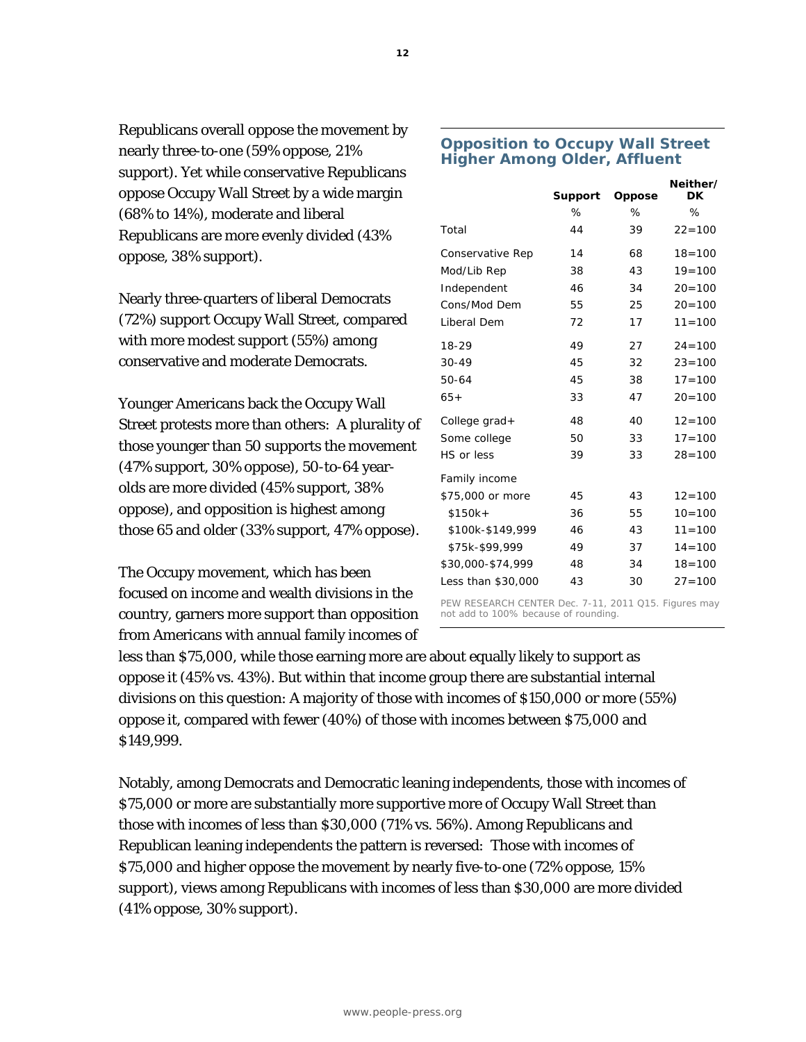Republicans overall oppose the movement by nearly three-to-one (59% oppose, 21% support). Yet while conservative Republicans oppose Occupy Wall Street by a wide margin (68% to 14%), moderate and liberal Republicans are more evenly divided (43% oppose, 38% support).

Nearly three-quarters of liberal Democrats (72%) support Occupy Wall Street, compared with more modest support (55%) among conservative and moderate Democrats.

Younger Americans back the Occupy Wall Street protests more than others: A plurality of those younger than 50 supports the movement (47% support, 30% oppose), 50-to-64 yearolds are more divided (45% support, 38% oppose), and opposition is highest among those 65 and older (33% support, 47% oppose).

The Occupy movement, which has been focused on income and wealth divisions in the country, garners more support than opposition from Americans with annual family incomes of

# **Opposition to Occupy Wall Street Higher Among Older, Affluent**

|                                                                                              | <b>Support</b> | Oppose | Neither/<br><b>DK</b> |  |  |
|----------------------------------------------------------------------------------------------|----------------|--------|-----------------------|--|--|
|                                                                                              | ℅              | ℅      | ℅                     |  |  |
| Total                                                                                        | 44             | 39     | $22 = 100$            |  |  |
| Conservative Rep                                                                             | 14             | 68     | $18 = 100$            |  |  |
| Mod/Lib Rep                                                                                  | 38             | 43     | $19 = 100$            |  |  |
| Independent                                                                                  | 46             | 34     | $20 = 100$            |  |  |
| Cons/Mod Dem                                                                                 | 55             | 25     | $20 = 100$            |  |  |
| Liberal Dem                                                                                  | 72             | 17     | $11 = 100$            |  |  |
| 18-29                                                                                        | 49             | 27     | $24 = 100$            |  |  |
| $30 - 49$                                                                                    | 45             | 32     | $23 = 100$            |  |  |
| 50-64                                                                                        | 45             | 38     | $17 = 100$            |  |  |
| $65+$                                                                                        | 33             | 47     | $20 = 100$            |  |  |
| College grad+                                                                                | 48             | 40     | $12 = 100$            |  |  |
| Some college                                                                                 | 50             | 33     | $17 = 100$            |  |  |
| HS or less                                                                                   | 39             | 33     | $28 = 100$            |  |  |
| Family income                                                                                |                |        |                       |  |  |
| \$75,000 or more                                                                             | 45             | 43     | $12 = 100$            |  |  |
| $$150k+$                                                                                     | 36             | 55     | $10 = 100$            |  |  |
| \$100k-\$149,999                                                                             | 46             | 43     | $11 = 100$            |  |  |
| \$75k-\$99.999                                                                               | 49             | 37     | $14 = 100$            |  |  |
| \$30,000-\$74,999                                                                            | 48             | 34     | $18 = 100$            |  |  |
| Less than \$30,000                                                                           | 43             | 30     | $27 = 100$            |  |  |
| PEW RESEARCH CENTER Dec. 7-11, 2011 Q15. Figures may<br>not add to 100% because of rounding. |                |        |                       |  |  |

less than \$75,000, while those earning more are about equally likely to support as oppose it (45% vs. 43%). But within that income group there are substantial internal divisions on this question: A majority of those with incomes of \$150,000 or more (55%) oppose it, compared with fewer (40%) of those with incomes between \$75,000 and \$149,999.

Notably, among Democrats and Democratic leaning independents, those with incomes of \$75,000 or more are substantially more supportive more of Occupy Wall Street than those with incomes of less than \$30,000 (71% vs. 56%). Among Republicans and Republican leaning independents the pattern is reversed: Those with incomes of \$75,000 and higher oppose the movement by nearly five-to-one (72% oppose, 15% support), views among Republicans with incomes of less than \$30,000 are more divided (41% oppose, 30% support).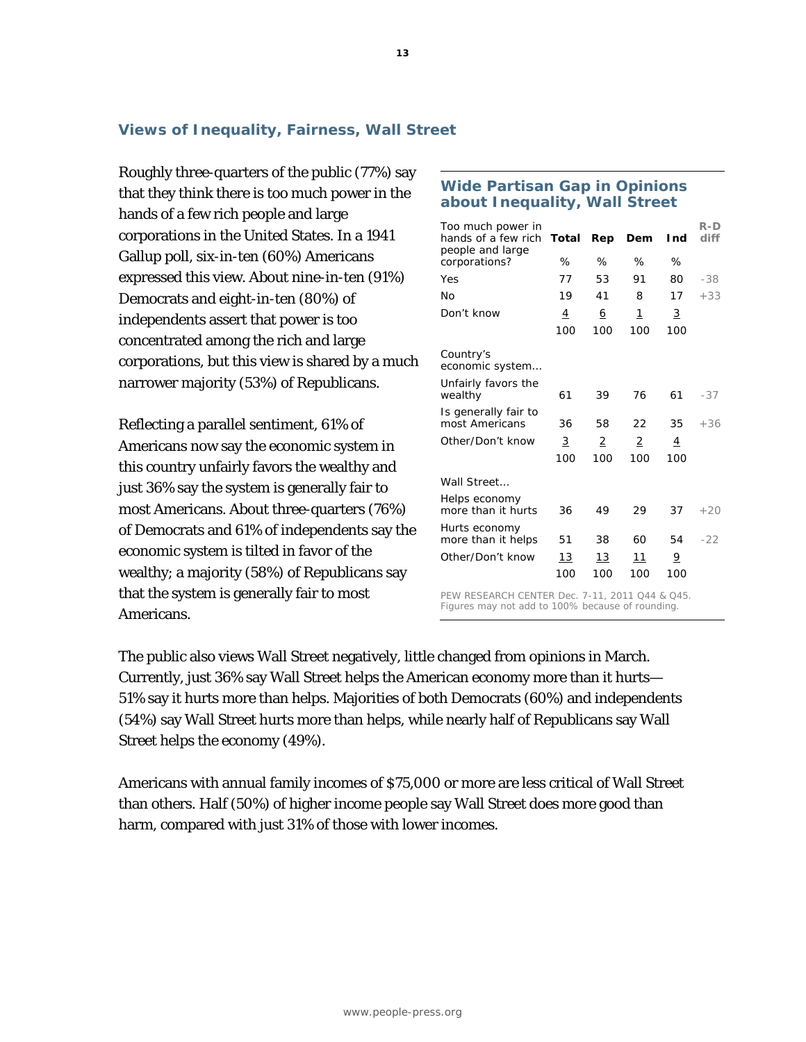## **Views of Inequality, Fairness, Wall Street**

Roughly three-quarters of the public (77%) say that they think there is too much power in the hands of a few rich people and large corporations in the United States. In a 1941 Gallup poll, six-in-ten (60%) Americans expressed this view. About nine-in-ten (91%) Democrats and eight-in-ten (80%) of independents assert that power is too concentrated among the rich and large corporations, but this view is shared by a much narrower majority (53%) of Republicans.

Reflecting a parallel sentiment, 61% of Americans now say the economic system in this country unfairly favors the wealthy and just 36% say the system is generally fair to most Americans. About three-quarters (76%) of Democrats and 61% of independents say the economic system is tilted in favor of the wealthy; a majority (58%) of Republicans say that the system is generally fair to most Americans.

#### **Wide Partisan Gap in Opinions about Inequality, Wall Street**

| Too much power in<br>hands of a few rich<br>people and large | Total | Rep | Dem | Ind            | R-D<br>diff |
|--------------------------------------------------------------|-------|-----|-----|----------------|-------------|
| corporations?                                                | ℅     | ℅   | ℅   | ℅              |             |
| Yes                                                          | 77    | 53  | 91  | 80             | $-38$       |
| No                                                           | 19    | 41  | 8   | 17             | $+33$       |
| Don't know                                                   | 4     | 6   | 1   | 3              |             |
|                                                              | 100   | 100 | 100 | 100            |             |
| Country's<br>economic system                                 |       |     |     |                |             |
| Unfairly favors the<br>wealthy                               | 61    | 39  | 76  | 61             | $-37$       |
| Is generally fair to<br>most Americans                       | 36    | 58  | 22  | 35             | $+36$       |
| Other/Don't know                                             | 3     | 2   | 2   | $\overline{4}$ |             |
|                                                              | 100   | 100 | 100 | 100            |             |
| Wall Street                                                  |       |     |     |                |             |
| Helps economy<br>more than it hurts                          | 36    | 49  | 29  | 37             | $+20$       |
| Hurts economy<br>more than it helps                          | 51    | 38  | 60  | 54             | $-22$       |
| Other/Don't know                                             | 13    | 13  | 11  | 9              |             |
|                                                              | 100   | 100 | 100 | 100            |             |

PEW RESEARCH CENTER Dec. 7-11, 2011 Q44 & Q45. Figures may not add to 100% because of rounding.

The public also views Wall Street negatively, little changed from opinions in March. Currently, just 36% say Wall Street helps the American economy more than it hurts— 51% say it hurts more than helps. Majorities of both Democrats (60%) and independents (54%) say Wall Street hurts more than helps, while nearly half of Republicans say Wall Street helps the economy (49%).

Americans with annual family incomes of \$75,000 or more are less critical of Wall Street than others. Half (50%) of higher income people say Wall Street does more good than harm, compared with just 31% of those with lower incomes.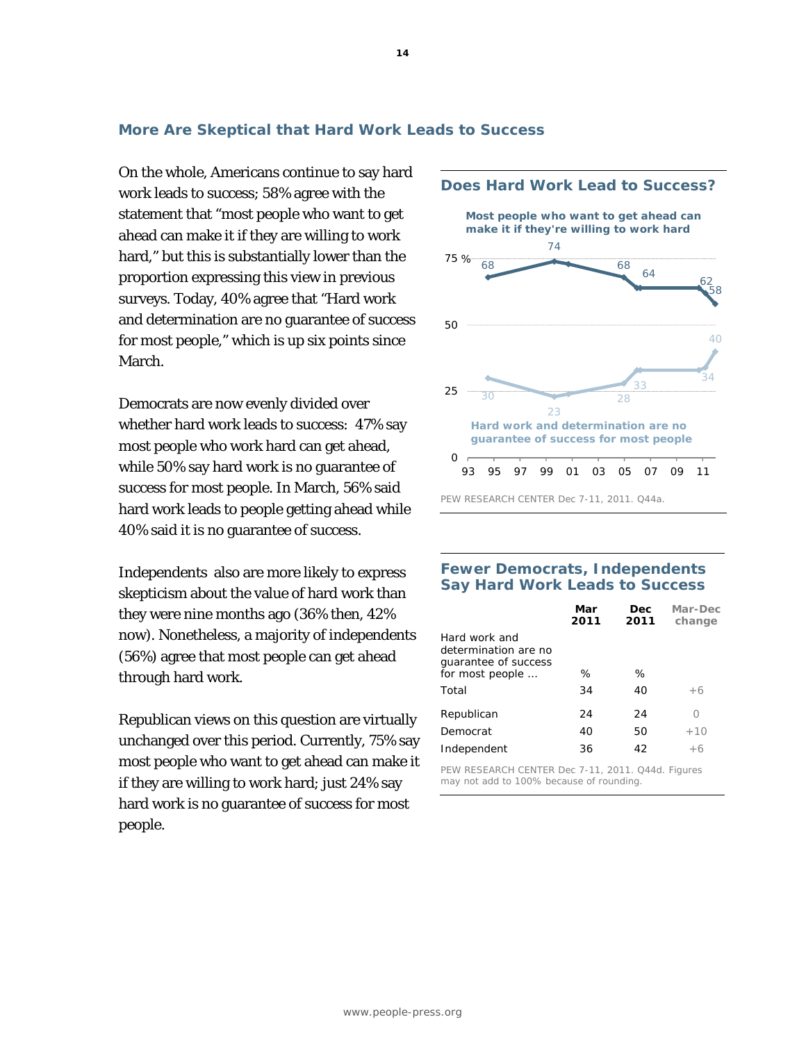### **More Are Skeptical that Hard Work Leads to Success**

On the whole, Americans continue to say hard work leads to success; 58% agree with the statement that "most people who want to get ahead can make it if they are willing to work hard," but this is substantially lower than the proportion expressing this view in previous surveys. Today, 40% agree that "Hard work and determination are no guarantee of success for most people," which is up six points since March.

Democrats are now evenly divided over whether hard work leads to success: 47% say most people who work hard can get ahead, while 50% say hard work is no guarantee of success for most people. In March, 56% said hard work leads to people getting ahead while 40% said it is no guarantee of success.

Independents also are more likely to express skepticism about the value of hard work than they were nine months ago (36% then, 42% now). Nonetheless, a majority of independents (56%) agree that most people can get ahead through hard work.

Republican views on this question are virtually unchanged over this period. Currently, 75% say most people who want to get ahead can make it if they are willing to work hard; just 24% say hard work is no guarantee of success for most people.



#### **Fewer Democrats, Independents Say Hard Work Leads to Success**

|                                                               | Mar<br>2011 | Dec.<br>2011 | Mar-Dec<br>change |
|---------------------------------------------------------------|-------------|--------------|-------------------|
| Hard work and<br>determination are no<br>quarantee of success |             |              |                   |
| for most people                                               | ℅           | ℅            |                   |
| Total                                                         | 34          | 40           | $+6$              |
| Republican                                                    | 24          | 24           | ∩                 |
| Democrat                                                      | 40          | 50           | $+10$             |
| Independent                                                   | 36          | 42           | $+6$              |

PEW RESEARCH CENTER Dec 7-11, 2011. Q44d. Figures may not add to 100% because of rounding.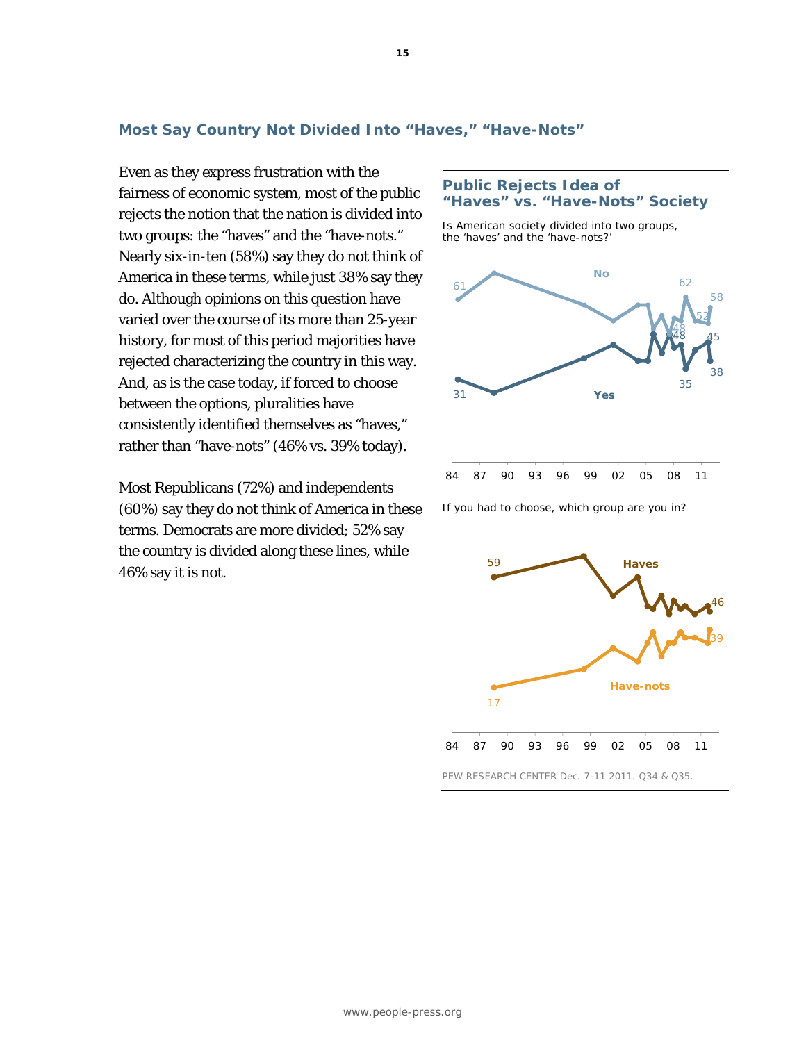# **Most Say Country Not Divided Into "Haves," "Have-Nots"**

Even as they express frustration with the fairness of economic system, most of the public rejects the notion that the nation is divided into two groups: the "haves" and the "have-nots." Nearly six-in-ten (58%) say they do not think of America in these terms, while just 38% say they do. Although opinions on this question have varied over the course of its more than 25-year history, for most of this period majorities have rejected characterizing the country in this way. And, as is the case today, if forced to choose between the options, pluralities have consistently identified themselves as "haves," rather than "have-nots" (46% vs. 39% today).

Most Republicans (72%) and independents (60%) say they do not think of America in these terms. Democrats are more divided; 52% say the country is divided along these lines, while 46% say it is not.

#### **Public Rejects Idea of "Haves" vs. "Have-Nots" Society**

*Is American society divided into two groups, the 'haves' and the 'have-nots?'* 



*If you had to choose, which group are you in?* 

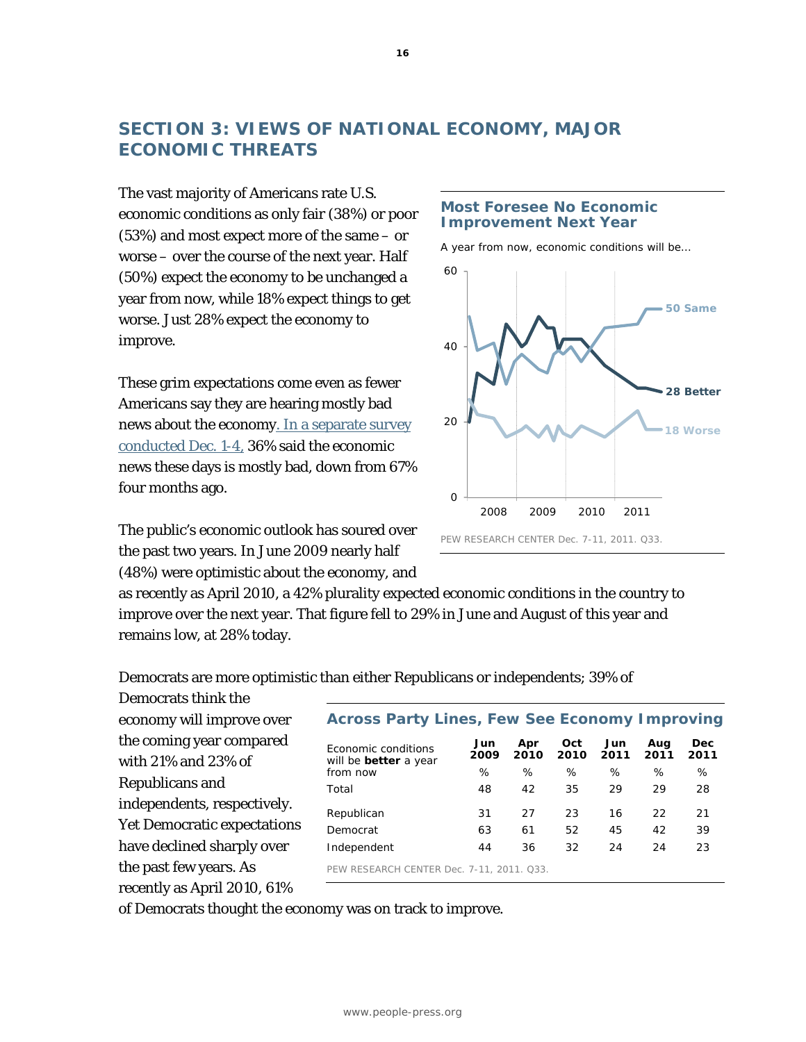# **SECTION 3: VIEWS OF NATIONAL ECONOMY, MAJOR ECONOMIC THREATS**

The vast majority of Americans rate U.S. economic conditions as only fair (38%) or poor (53%) and most expect more of the same – or worse – over the course of the next year. Half (50%) expect the economy to be unchanged a year from now, while 18% expect things to get worse. Just 28% expect the economy to improve.

These grim expectations come even as fewer Americans say they are hearing mostly bad news about the economy. [In a separate survey](http://www.people-press.org/2011/12/07/many-fewer-hearing-mostly-bad-economic-news/) conducted Dec. 1-4, 36% said the economic news these days is mostly bad, down from 67% four months ago.

The public's economic outlook has soured over the past two years. In June 2009 nearly half (48%) were optimistic about the economy, and

#### **Most Foresee No Economic Improvement Next Year**

*A year from now, economic conditions will be…* 



as recently as April 2010, a 42% plurality expected economic conditions in the country to improve over the next year. That figure fell to 29% in June and August of this year and remains low, at 28% today.

Democrats are more optimistic than either Republicans or independents; 39% of

Democrats think the economy will improve over the coming year compared with 21% and 23% of Republicans and independents, respectively. Yet Democratic expectations have declined sharply over the past few years. As recently as April 2010, 61%

| <b>Across Party Lines, Few See Economy Improving</b>       |             |             |             |             |             |                    |
|------------------------------------------------------------|-------------|-------------|-------------|-------------|-------------|--------------------|
| <b>Economic conditions</b><br>will be <b>better</b> a year | Jun<br>2009 | Apr<br>2010 | Oct<br>2010 | Jun<br>2011 | Aug<br>2011 | <b>Dec</b><br>2011 |
| from now                                                   | ℅           | %           | $\%$        | ℅           | %           | $\%$               |
| Total                                                      | 48          | 42          | 35          | 29          | 29          | 28                 |
| Republican                                                 | 31          | 27          | 23          | 16          | 22          | 21                 |
| Democrat                                                   | 63          | 61          | 52          | 45          | 42          | 39                 |
| Independent                                                | 44          | 36          | 32          | 24          | 24          | 23                 |
| PEW RESEARCH CENTER Dec. 7-11, 2011, 033.                  |             |             |             |             |             |                    |

of Democrats thought the economy was on track to improve.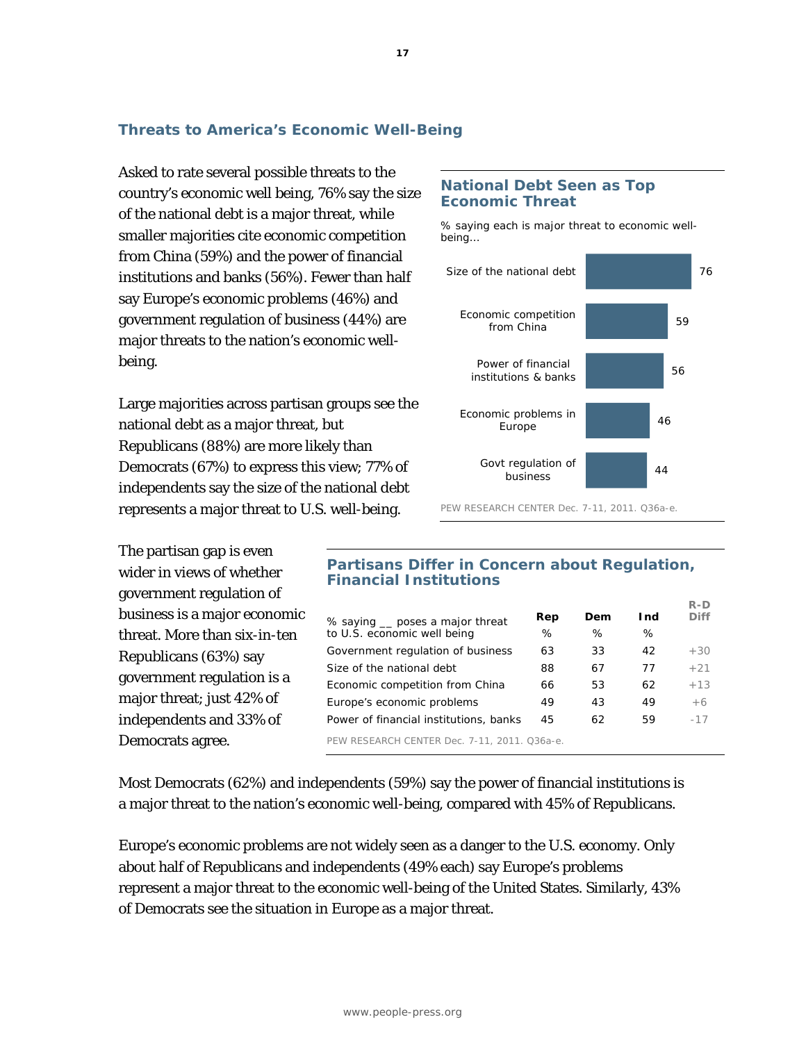# **Threats to America's Economic Well-Being**

Asked to rate several possible threats to the country's economic well being, 76% say the size of the national debt is a major threat, while smaller majorities cite economic competition from China (59%) and the power of financial institutions and banks (56%). Fewer than half say Europe's economic problems (46%) and government regulation of business (44%) are major threats to the nation's economic wellbeing.

Large majorities across partisan groups see the national debt as a major threat, but Republicans (88%) are more likely than Democrats (67%) to express this view; 77% of independents say the size of the national debt represents a major threat to U.S. well-being.

The partisan gap is even wider in views of whether government regulation of business is a major economic threat. More than six-in-ten Republicans (63%) say government regulation is a major threat; just 42% of independents and 33% of Democrats agree.

### **National Debt Seen as Top Economic Threat**

*% saying each is major threat to economic wellbeing…* 



PEW RESEARCH CENTER Dec. 7-11, 2011. Q36a-e.

**R-D** 

## **Partisans Differ in Concern about Regulation, Financial Institutions**

| % saying __ poses a major threat             | Rep | Dem | I nd | <b>Diff</b> |
|----------------------------------------------|-----|-----|------|-------------|
| to U.S. economic well being                  | ℅   | %   | %    |             |
| Government regulation of business            | 63  | 33  | 42   | $+30$       |
| Size of the national debt                    | 88  | 67  | 77   | $+21$       |
| Economic competition from China              | 66  | 53  | 62   | $+1.3$      |
| Europe's economic problems                   | 49  | 43  | 49   | $+6$        |
| Power of financial institutions, banks       | 45  | 62  | 59   | $-17$       |
| PEW RESEARCH CENTER Dec. 7-11, 2011. Q36a-e. |     |     |      |             |

Most Democrats (62%) and independents (59%) say the power of financial institutions is a major threat to the nation's economic well-being, compared with 45% of Republicans.

Europe's economic problems are not widely seen as a danger to the U.S. economy. Only about half of Republicans and independents (49% each) say Europe's problems represent a major threat to the economic well-being of the United States. Similarly, 43% of Democrats see the situation in Europe as a major threat.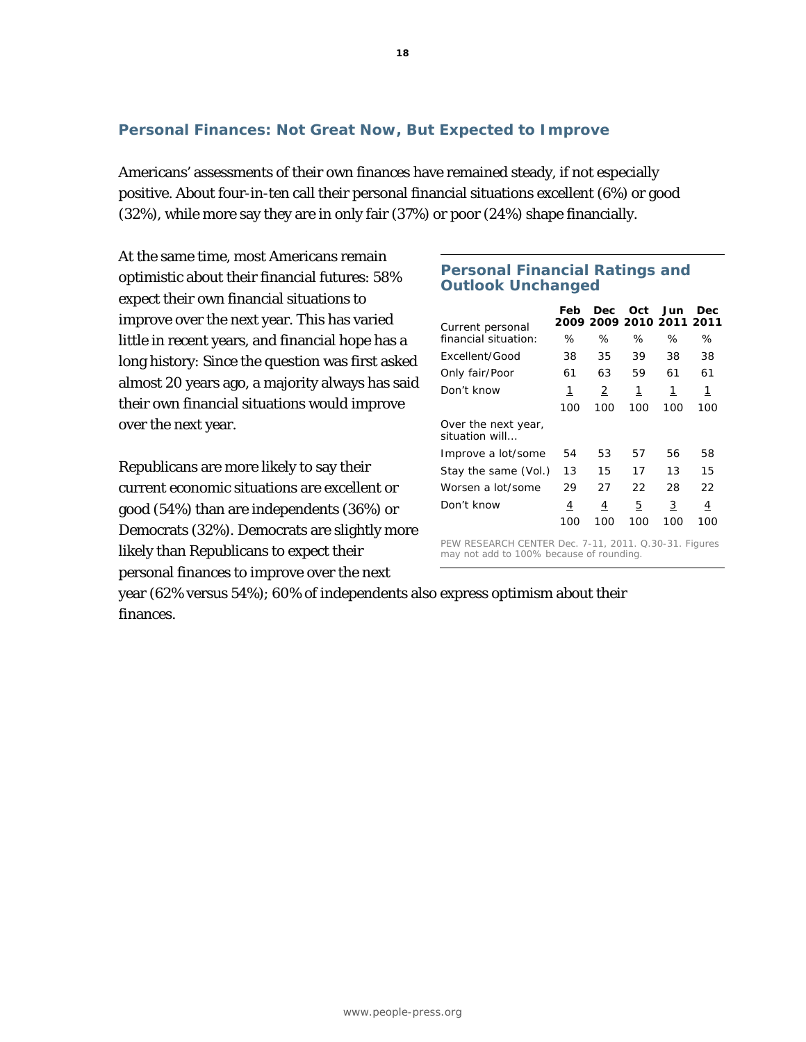# **Personal Finances: Not Great Now, But Expected to Improve**

Americans' assessments of their own finances have remained steady, if not especially positive. About four-in-ten call their personal financial situations excellent (6%) or good (32%), while more say they are in only fair (37%) or poor (24%) shape financially.

At the same time, most Americans remain optimistic about their financial futures: 58% expect their own financial situations to improve over the next year. This has varied little in recent years, and financial hope has a long history: Since the question was first asked almost 20 years ago, a majority always has said their own financial situations would improve over the next year.

Republicans are more likely to say their current economic situations are excellent or good (54%) than are independents (36%) or Democrats (32%). Democrats are slightly more likely than Republicans to expect their personal finances to improve over the next

# **Personal Financial Ratings and Outlook Unchanged**

| Current personal                                      | Feb | Dec<br>2009 2009 2010 2011 2011 | Oct | Jun | Dec |  |
|-------------------------------------------------------|-----|---------------------------------|-----|-----|-----|--|
| financial situation:                                  | ℅   | ℅                               | ℅   | ℅   | ℅   |  |
| Excellent/Good                                        | 38  | 35                              | 39  | 38  | 38  |  |
| Only fair/Poor                                        | 61  | 63                              | 59  | 61  | 61  |  |
| Don't know                                            | 1   | 2                               | 1   | 1   | 1   |  |
|                                                       | 100 | 100                             | 100 | 100 | 100 |  |
| Over the next year,<br>situation will                 |     |                                 |     |     |     |  |
| Improve a lot/some                                    | 54  | 53                              | 57  | 56  | 58  |  |
| Stay the same (Vol.)                                  | 13  | 15                              | 17  | 13  | 15  |  |
| Worsen a lot/some                                     | 29  | 27                              | 22  | 28  | 22  |  |
| Don't know                                            | 4   | $\overline{4}$                  | 5   | 3   | 4   |  |
|                                                       | 100 | 100                             | 100 | 100 | 100 |  |
| PEW RESEARCH CENTER Dec. 7-11, 2011. Q.30-31. Figures |     |                                 |     |     |     |  |

may not add to 100% because of rounding.

year (62% versus 54%); 60% of independents also express optimism about their finances.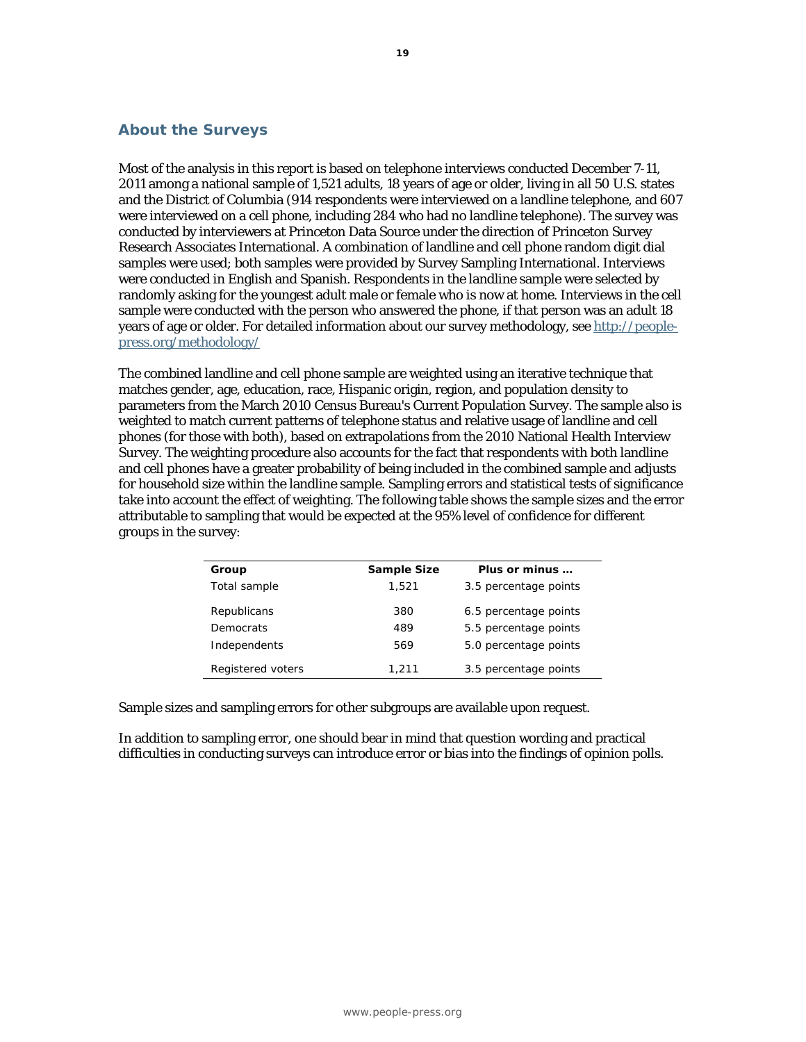#### **About the Surveys**

Most of the analysis in this report is based on telephone interviews conducted December 7-11, 2011 among a national sample of 1,521 adults, 18 years of age or older, living in all 50 U.S. states and the District of Columbia (914 respondents were interviewed on a landline telephone, and 607 were interviewed on a cell phone, including 284 who had no landline telephone). The survey was conducted by interviewers at Princeton Data Source under the direction of Princeton Survey Research Associates International. A combination of landline and cell phone random digit dial samples were used; both samples were provided by Survey Sampling International. Interviews were conducted in English and Spanish. Respondents in the landline sample were selected by randomly asking for the youngest adult male or female who is now at home. Interviews in the cell sample were conducted with the person who answered the phone, if that person was an adult 18 years of age or older. For detailed information about our survey methodology, see http://peoplepress.org/methodology/

The combined landline and cell phone sample are weighted using an iterative technique that matches gender, age, education, race, Hispanic origin, region, and population density to parameters from the March 2010 Census Bureau's Current Population Survey. The sample also is weighted to match current patterns of telephone status and relative usage of landline and cell phones (for those with both), based on extrapolations from the 2010 National Health Interview Survey. The weighting procedure also accounts for the fact that respondents with both landline and cell phones have a greater probability of being included in the combined sample and adjusts for household size within the landline sample. Sampling errors and statistical tests of significance take into account the effect of weighting. The following table shows the sample sizes and the error attributable to sampling that would be expected at the 95% level of confidence for different groups in the survey:

| Group             | <b>Sample Size</b> | Plus or minus         |
|-------------------|--------------------|-----------------------|
| Total sample      | 1.521              | 3.5 percentage points |
| Republicans       | 380                | 6.5 percentage points |
| Democrats         | 489                | 5.5 percentage points |
| Independents      | 569                | 5.0 percentage points |
| Registered voters | 1,211              | 3.5 percentage points |

Sample sizes and sampling errors for other subgroups are available upon request.

In addition to sampling error, one should bear in mind that question wording and practical difficulties in conducting surveys can introduce error or bias into the findings of opinion polls.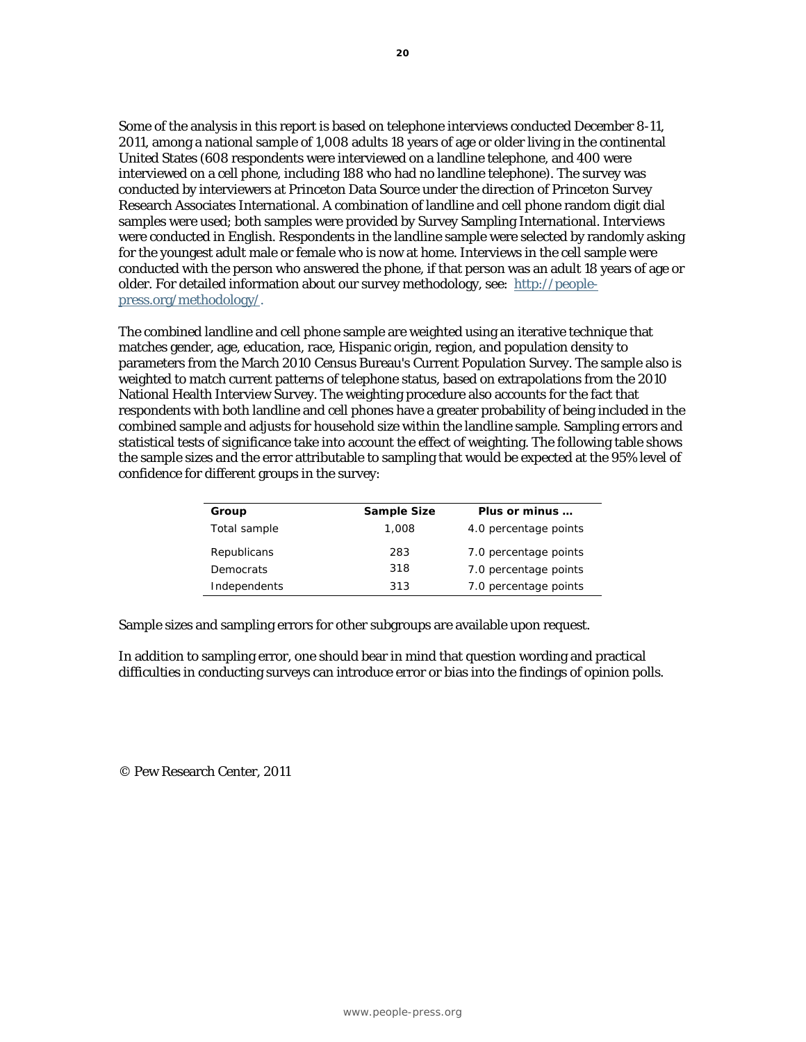Some of the analysis in this report is based on telephone interviews conducted December 8-11, 2011, among a national sample of 1,008 adults 18 years of age or older living in the continental United States (608 respondents were interviewed on a landline telephone, and 400 were interviewed on a cell phone, including 188 who had no landline telephone). The survey was conducted by interviewers at Princeton Data Source under the direction of Princeton Survey Research Associates International. A combination of landline and cell phone random digit dial samples were used; both samples were provided by Survey Sampling International. Interviews were conducted in English. Respondents in the landline sample were selected by randomly asking for the youngest adult male or female who is now at home. Interviews in the cell sample were conducted with the person who answered the phone, if that person was an adult 18 years of age or older. For detailed information about our survey methodology, see: http://peoplepress.org/methodology/.

The combined landline and cell phone sample are weighted using an iterative technique that matches gender, age, education, race, Hispanic origin, region, and population density to parameters from the March 2010 Census Bureau's Current Population Survey. The sample also is weighted to match current patterns of telephone status, based on extrapolations from the 2010 National Health Interview Survey. The weighting procedure also accounts for the fact that respondents with both landline and cell phones have a greater probability of being included in the combined sample and adjusts for household size within the landline sample. Sampling errors and statistical tests of significance take into account the effect of weighting. The following table shows the sample sizes and the error attributable to sampling that would be expected at the 95% level of confidence for different groups in the survey:

| Group        | Sample Size | Plus or minus         |
|--------------|-------------|-----------------------|
| Total sample | 1,008       | 4.0 percentage points |
| Republicans  | 283         | 7.0 percentage points |
| Democrats    | 318         | 7.0 percentage points |
| Independents | 313         | 7.0 percentage points |

Sample sizes and sampling errors for other subgroups are available upon request.

In addition to sampling error, one should bear in mind that question wording and practical difficulties in conducting surveys can introduce error or bias into the findings of opinion polls.

© Pew Research Center, 2011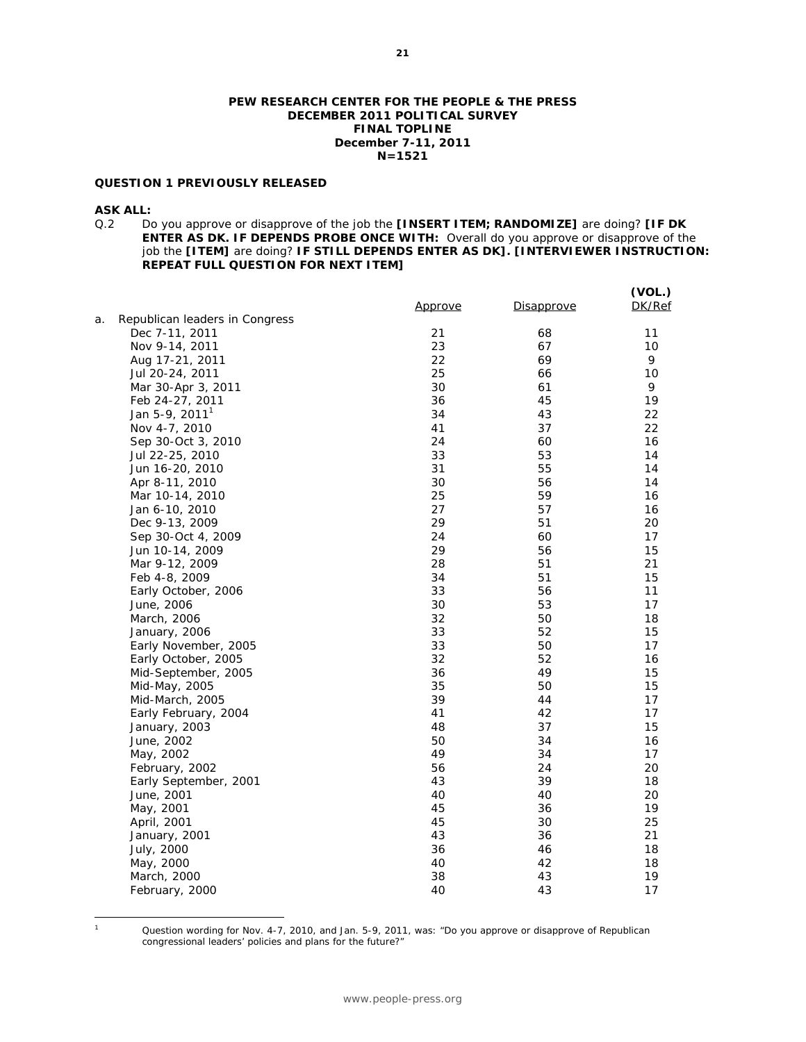#### **PEW RESEARCH CENTER FOR THE PEOPLE & THE PRESS DECEMBER 2011 POLITICAL SURVEY FINAL TOPLINE December 7-11, 2011 N=1521**

#### **QUESTION 1 PREVIOUSLY RELEASED**

**ASK ALL:**<br>Q.2 Do Q.2 Do you approve or disapprove of the job the **[INSERT ITEM; RANDOMIZE]** are doing? **[IF DK ENTER AS DK. IF DEPENDS PROBE ONCE WITH:** Overall do you approve or disapprove of the job the **[ITEM]** are doing? **IF STILL DEPENDS ENTER AS DK]. [INTERVIEWER INSTRUCTION: REPEAT FULL QUESTION FOR NEXT ITEM]** 

|    |                                | <u>Approve</u> | Disapprove | (VOL.)<br>DK/Ref |
|----|--------------------------------|----------------|------------|------------------|
| а. | Republican leaders in Congress |                |            |                  |
|    | Dec 7-11, 2011                 | 21             | 68         | 11               |
|    | Nov 9-14, 2011                 | 23             | 67         | 10               |
|    | Aug 17-21, 2011                | 22             | 69         | 9                |
|    | Jul 20-24, 2011                | 25             | 66         | 10               |
|    | Mar 30-Apr 3, 2011             | 30             | 61         | 9                |
|    | Feb 24-27, 2011                | 36             | 45         | 19               |
|    | Jan 5-9, 2011 <sup>1</sup>     | 34             | 43         | 22               |
|    | Nov 4-7, 2010                  | 41             | 37         | 22               |
|    | Sep 30-Oct 3, 2010             | 24             | 60         | 16               |
|    | Jul 22-25, 2010                | 33             | 53         | 14               |
|    | Jun 16-20, 2010                | 31             | 55         | 14               |
|    | Apr 8-11, 2010                 | 30             | 56         | 14               |
|    | Mar 10-14, 2010                | 25             | 59         | 16               |
|    | Jan 6-10, 2010                 | 27             | 57         | 16               |
|    | Dec 9-13, 2009                 | 29             | 51         | 20               |
|    | Sep 30-Oct 4, 2009             | 24             | 60         | 17               |
|    | Jun 10-14, 2009                | 29             | 56         | 15               |
|    | Mar 9-12, 2009                 | 28             | 51         | 21               |
|    | Feb 4-8, 2009                  | 34             | 51         | 15               |
|    | Early October, 2006            | 33             | 56         | 11               |
|    | June, 2006                     | 30             | 53         | 17               |
|    | March, 2006                    | 32             | 50         | 18               |
|    | January, 2006                  | 33             | 52         | 15               |
|    | Early November, 2005           | 33             | 50         | 17               |
|    | Early October, 2005            | 32             | 52         | 16               |
|    | Mid-September, 2005            | 36             | 49         | 15               |
|    | Mid-May, 2005                  | 35             | 50         | 15               |
|    | Mid-March, 2005                | 39             | 44         | 17               |
|    | Early February, 2004           | 41             | 42         | 17               |
|    | January, 2003                  | 48             | 37         | 15               |
|    | June, 2002                     | 50             | 34         | 16               |
|    | May, 2002                      | 49             | 34         | 17               |
|    | February, 2002                 | 56             | 24         | 20               |
|    | Early September, 2001          | 43             | 39         | 18               |
|    | June, 2001                     | 40             | 40         | 20               |
|    | May, 2001                      | 45             | 36         | 19               |
|    | April, 2001                    | 45             | 30         | 25               |
|    | January, 2001                  | 43             | 36         | 21               |
|    | July, 2000                     | 36             | 46         | 18               |
|    | May, 2000                      | 40             | 42         | 18               |
|    | March, 2000                    | 38             | 43         | 19               |
|    | February, 2000                 | 40             | 43         | 17               |
|    |                                |                |            |                  |

 $\overline{a}$ 1

Question wording for Nov. 4-7, 2010, and Jan. 5-9, 2011, was: "Do you approve or disapprove of Republican congressional leaders' policies and plans for the future?"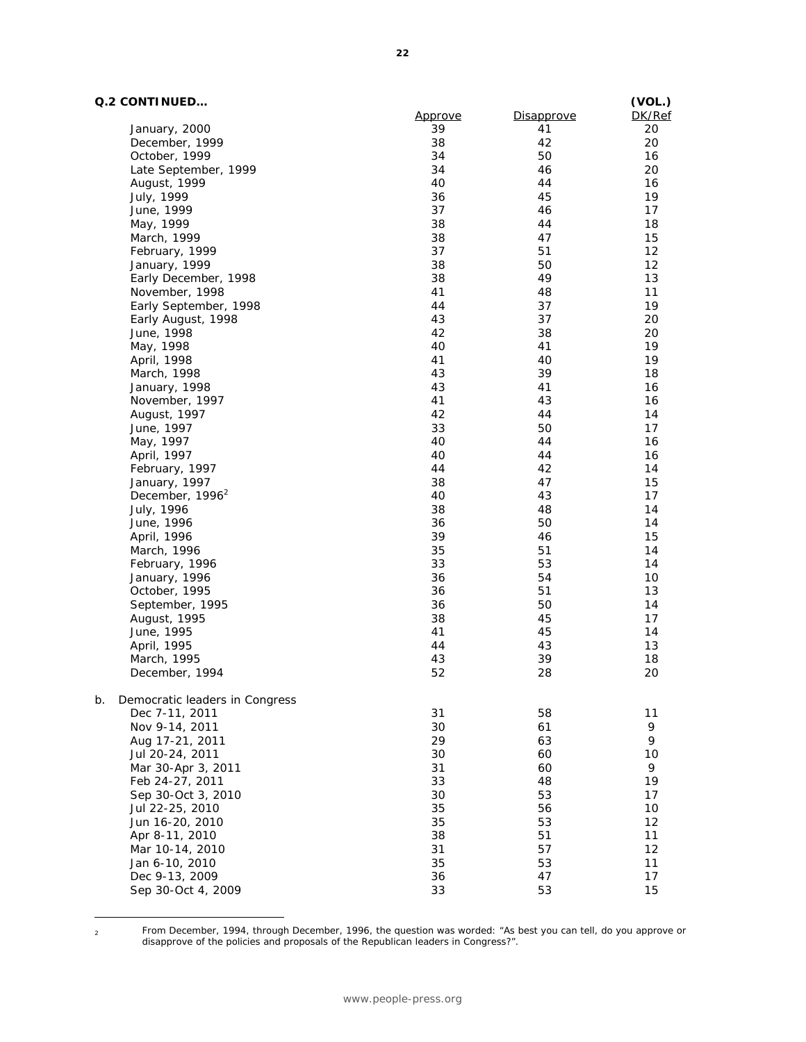#### **Q.2 CONTINUED…**

| Q.2 CONTINUED                        |         |                   | (VOL.) |
|--------------------------------------|---------|-------------------|--------|
|                                      | Approve | <b>Disapprove</b> | DK/Ref |
| January, 2000                        | 39      | 41                | 20     |
| December, 1999                       | 38      | 42                | 20     |
| October, 1999                        | 34      | 50                | 16     |
| Late September, 1999                 | 34      | 46                | 20     |
| August, 1999                         | 40      | 44                | 16     |
| July, 1999                           | 36      | 45                | 19     |
| June, 1999                           | 37      | 46                | 17     |
| May, 1999                            | 38      | 44                | 18     |
| March, 1999                          | 38      | 47                | 15     |
| February, 1999                       | 37      | 51                | 12     |
| January, 1999                        | 38      | 50                | 12     |
| Early December, 1998                 | 38      | 49                | 13     |
| November, 1998                       | 41      | 48                | 11     |
| Early September, 1998                | 44      | 37                | 19     |
| Early August, 1998                   | 43      | 37                | 20     |
| June, 1998                           | 42      | 38                | 20     |
| May, 1998                            | 40      | 41                | 19     |
| April, 1998                          | 41      | 40                | 19     |
| March, 1998                          | 43      | 39                | 18     |
| January, 1998                        | 43      | 41                | 16     |
| November, 1997                       | 41      | 43                | 16     |
| August, 1997                         | 42      | 44                | 14     |
| June, 1997                           | 33      | 50                | 17     |
| May, 1997                            | 40      | 44                | 16     |
| April, 1997                          | 40      | 44                | 16     |
| February, 1997                       | 44      | 42                | 14     |
| January, 1997                        | 38      | 47                | 15     |
| December, 1996 <sup>2</sup>          | 40      | 43                | 17     |
| July, 1996                           | 38      | 48                | 14     |
| June, 1996                           | 36      | 50                | 14     |
| April, 1996                          | 39      | 46                | 15     |
| March, 1996                          | 35      | 51                | 14     |
| February, 1996                       | 33      | 53                | 14     |
| January, 1996                        | 36      | 54                | 10     |
| October, 1995                        | 36      | 51                | 13     |
| September, 1995                      | 36      | 50                | 14     |
| August, 1995                         | 38      | 45                | 17     |
| June, 1995                           | 41      | 45                | 14     |
| April, 1995                          | 44      | 43                | 13     |
| March, 1995                          | 43      | 39                | 18     |
| December, 1994                       | 52      | 28                | 20     |
| b.<br>Democratic leaders in Congress |         |                   |        |
| Dec 7-11, 2011                       | 31      | 58                | 11     |
| Nov 9-14, 2011                       | 30      | 61                | 9      |
| Aug 17-21, 2011                      | 29      | 63                | 9      |
| Jul 20-24, 2011                      | 30      | 60                | 10     |
| Mar 30-Apr 3, 2011                   | 31      | 60                | 9      |
| Feb 24-27, 2011                      | 33      | 48                | 19     |
| Sep 30-Oct 3, 2010                   | 30      | 53                | 17     |
| Jul 22-25, 2010                      | 35      | 56                | 10     |
| Jun 16-20, 2010                      | 35      | 53                | 12     |
| Apr 8-11, 2010                       | 38      | 51                | 11     |
| Mar 10-14, 2010                      | 31      | 57                | 12     |
| Jan 6-10, 2010                       | 35      | 53                | 11     |
| Dec 9-13, 2009                       | 36      | 47                | 17     |
| Sep 30-Oct 4, 2009                   | 33      | 53                | 15     |
|                                      |         |                   |        |

 $\overline{a}$ 

From December, 1994, through December, 1996, the question was worded: "As best you can tell, do you approve or<br>disapprove of the policies and proposals of the Republican leaders in Congress?".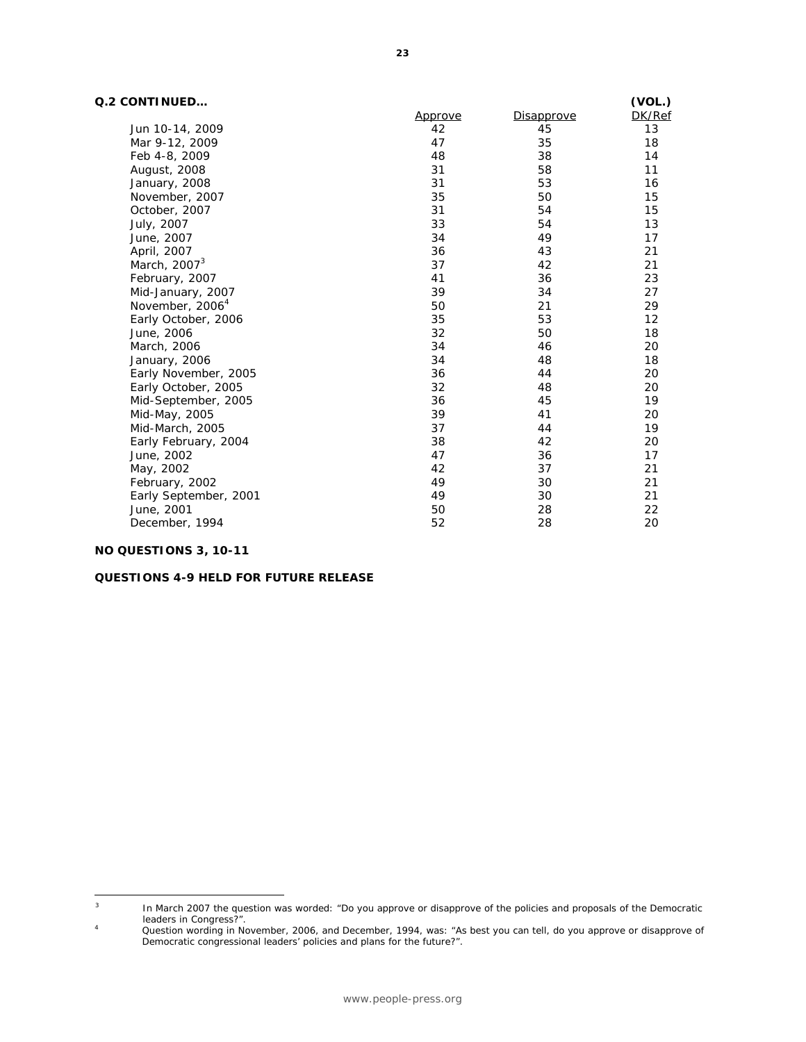#### **Q.2 CONTINUED…**

| Q.2 CONTINUED               |                |            | (VOL.) |
|-----------------------------|----------------|------------|--------|
|                             | <u>Approve</u> | Disapprove | DK/Ref |
| Jun 10-14, 2009             | 42             | 45         | 13     |
| Mar 9-12, 2009              | 47             | 35         | 18     |
| Feb 4-8, 2009               | 48             | 38         | 14     |
| August, 2008                | 31             | 58         | 11     |
| January, 2008               | 31             | 53         | 16     |
| November, 2007              | 35             | 50         | 15     |
| October, 2007               | 31             | 54         | 15     |
| July, 2007                  | 33             | 54         | 13     |
| June, 2007                  | 34             | 49         | 17     |
| April, 2007                 | 36             | 43         | 21     |
| March, 2007 <sup>3</sup>    | 37             | 42         | 21     |
| February, 2007              | 41             | 36         | 23     |
| Mid-January, 2007           | 39             | 34         | 27     |
| November, 2006 <sup>4</sup> | 50             | 21         | 29     |
| Early October, 2006         | 35             | 53         | 12     |
| June, 2006                  | 32             | 50         | 18     |
| March, 2006                 | 34             | 46         | 20     |
| January, 2006               | 34             | 48         | 18     |
| Early November, 2005        | 36             | 44         | 20     |
| Early October, 2005         | 32             | 48         | 20     |
| Mid-September, 2005         | 36             | 45         | 19     |
| Mid-May, 2005               | 39             | 41         | 20     |
| Mid-March, 2005             | 37             | 44         | 19     |
| Early February, 2004        | 38             | 42         | 20     |
| June, 2002                  | 47             | 36         | 17     |
| May, 2002                   | 42             | 37         | 21     |
| February, 2002              | 49             | 30         | 21     |
| Early September, 2001       | 49             | 30         | 21     |
| June, 2001                  | 50             | 28         | 22     |
| December, 1994              | 52             | 28         | 20     |

#### **NO QUESTIONS 3, 10-11**

#### **QUESTIONS 4-9 HELD FOR FUTURE RELEASE**

 $\sqrt{3}$ 3 In March 2007 the question was worded: "Do you approve or disapprove of the policies and proposals of the Democratic leaders in Congress?".<br>A Cuestion wording in Ne

Question wording in November, 2006, and December, 1994, was: "As best you can tell, do you approve or disapprove of Democratic congressional leaders' policies and plans for the future?".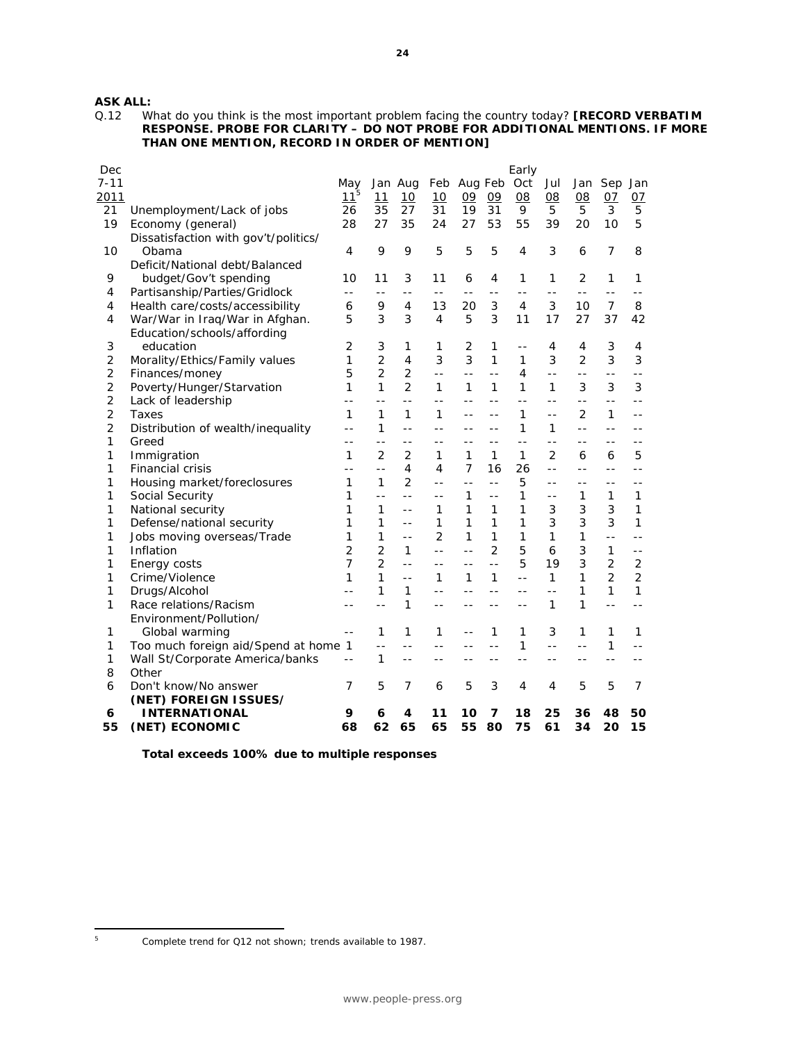# **ASK ALL:**<br>Q.12 W

What do you think is the most important problem facing the country today? **[RECORD VERBATIM RESPONSE. PROBE FOR CLARITY – DO NOT PROBE FOR ADDITIONAL MENTIONS. IF MORE THAN ONE MENTION, RECORD IN ORDER OF MENTION]** 

| Dec            |                                      |                |                |                |                |                |                | Early |                |                |                |                |
|----------------|--------------------------------------|----------------|----------------|----------------|----------------|----------------|----------------|-------|----------------|----------------|----------------|----------------|
| $7 - 11$       |                                      | May            |                | Jan Aug        | Feb            | Aug Feb        |                | Oct   | Jul            | Jan            | Sep            | Jan            |
| 2011           |                                      | $11^5$         | 11             | 10             | 10             | 09             | 09             | 08    | 08             | 08             | 07             | 07             |
| 21             | Unemployment/Lack of jobs            | 26             | 35             | 27             | 31             | 19             | 31             | 9     | 5              | 5              | 3              | 5              |
| 19             | Economy (general)                    | 28             | 27             | 35             | 24             | 27             | 53             | 55    | 39             | 20             | 10             | 5              |
|                | Dissatisfaction with gov't/politics/ |                |                |                |                |                |                |       |                |                |                |                |
| 10             | Obama                                | 4              | 9              | 9              | 5              | 5              | 5              | 4     | 3              | 6              | $\overline{7}$ | 8              |
|                | Deficit/National debt/Balanced       |                |                |                |                |                |                |       |                |                |                |                |
| 9              | budget/Gov't spending                | 10             | 11             | 3              | 11             | 6              | 4              | 1     | 1              | 2              | 1              | 1              |
| 4              | Partisanship/Parties/Gridlock        | $-$            | $ -$           | $-$            | $-$            | $-$            | $-$            | $-$   | $-$            | $-$            | $-$            |                |
| 4              | Health care/costs/accessibility      | 6              | 9              | 4              | 13             | 20             | 3              | 4     | 3              | 10             | $\overline{7}$ | 8              |
| 4              | War/War in Iraq/War in Afghan.       | 5              | 3              | 3              | $\overline{4}$ | 5              | 3              | 11    | 17             | 27             | 37             | 42             |
|                | Education/schools/affording          |                |                |                |                |                |                |       |                |                |                |                |
| 3              | education                            | 2              | 3              | 1              | 1              | 2              | 1              |       | 4              | 4              | 3              | 4              |
| $\overline{2}$ | Morality/Ethics/Family values        | $\mathbf{1}$   | $\overline{2}$ | 4              | 3              | 3              | 1              | 1     | 3              | $\overline{2}$ | 3              | 3              |
| $\overline{2}$ | Finances/money                       | 5              | $\mathfrak{D}$ | $\overline{2}$ | $- -$          |                | $ -$           | 4     | $ -$           | $ -$           | $ -$           |                |
| $\overline{2}$ | Poverty/Hunger/Starvation            | 1              | $\mathbf{1}$   | $\overline{2}$ | 1              | 1              | 1              | 1     | 1              | 3              | 3              | 3              |
| $\overline{2}$ | Lack of leadership                   | $-1$           | $-$            | $\overline{a}$ | $\overline{a}$ |                | $-$            | $-$   | $-$            | $-$            | $-$            |                |
| $\overline{2}$ | Taxes                                | 1              | 1              | 1              | 1              |                |                | 1     | $-$            | 2              | 1              |                |
| 2              | Distribution of wealth/inequality    | $-1$           | 1              | $-$            | $\sim$ $\sim$  |                | $-$            | 1     | 1              | $-$            | $-$            |                |
| 1              | Greed                                | $-$            | $=$ $-$        |                | --             |                |                | $-$   | $=$ $-$        | $\sim$ $\sim$  |                |                |
| 1              | Immigration                          | 1              | $\overline{2}$ | $\overline{2}$ | 1              | 1              | 1              | 1     | $\overline{2}$ | 6              | 6              | 5              |
| 1              | Financial crisis                     | $-$            | $\overline{a}$ | 4              | 4              | $\overline{7}$ | 16             | 26    | $-$            | $\overline{a}$ | $\sim$ $\sim$  | $-1$           |
| 1              | Housing market/foreclosures          | 1              | 1              | $\overline{2}$ | $- -$          | $- -$          | $-$            | 5     | $-$            | $-$            | $- -$          | $-$            |
| 1              | Social Security                      | 1              | $-$            | $-$            | $-$            | 1              | $-$            | 1     | $-$            | 1              | 1              | 1              |
| 1              | National security                    | 1              | 1              | $- -$          | 1              | 1              | 1              | 1     | 3              | 3              | 3              | 1              |
| 1              | Defense/national security            | 1              | 1              | $- -$          | 1              | 1              | 1              | 1     | 3              | 3              | 3              | 1              |
| 1              | Jobs moving overseas/Trade           | 1              | 1              | $- -$          | 2              | 1              | 1              | 1     | 1              | 1              | $-$            | $ -$           |
| 1              | Inflation                            | 2              | $\overline{2}$ | 1              | $-$            | $- -$          | $\overline{2}$ | 5     | 6              | 3              | 1              | $-$            |
| 1              | Energy costs                         | $\overline{7}$ | $\overline{2}$ | $\overline{a}$ |                |                | $-$            | 5     | 19             | 3              | $\overline{2}$ | $\overline{2}$ |
| 1              | Crime/Violence                       | 1              | 1              | $-$            | 1              | 1              | 1              | $-$   | 1              | 1              | $\overline{2}$ | $\overline{2}$ |
| 1              | Drugs/Alcohol                        |                | 1              | 1              | $-$            |                | $\sim$ $\sim$  | --    | $-$            | 1              | 1              | 1              |
| 1              | Race relations/Racism                | $-$            | $-$            | 1              | $-$            | $- -$          | $- -$          | $-$   | 1              | 1              | $-$            | $-$            |
|                | Environment/Pollution/               |                |                |                |                |                |                |       |                |                |                |                |
| 1              | Global warming                       | $-$            | 1              | $\mathbf{1}$   | 1              | $\sim$ $\sim$  | 1              | 1     | 3              | 1              | 1              | 1              |
| 1              | Too much foreign aid/Spend at home 1 |                | $\overline{a}$ | $-$            | $-$            |                |                | 1     | $\overline{a}$ | $-$            | 1              |                |
| 1              | Wall St/Corporate America/banks      | $ -$           | 1              | $ -$           | --             |                | $-$            | $ -$  | $-$            | $- -$          | --             |                |
| 8              | Other                                |                |                |                |                |                |                |       |                |                |                |                |
| 6              | Don't know/No answer                 | 7              | 5              | 7              | 6              | 5              | 3              | 4     | 4              | 5              | 5              | $\overline{7}$ |
|                | (NET) FOREIGN ISSUES/                |                |                |                |                |                |                |       |                |                |                |                |
| 6              | <b>INTERNATIONAL</b>                 | 9              | 6              | 4              | 11             | 10             | 7              | 18    | 25             | 36             | 48             | 50             |
| 55             | (NET) ECONOMIC                       | 68             | 62             | 65             | 65             | 55             | 80             | 75    | 61             | 34             | 20             | 15             |

*Total exceeds 100% due to multiple responses*

|<br>5

Complete trend for Q12 not shown; trends available to 1987.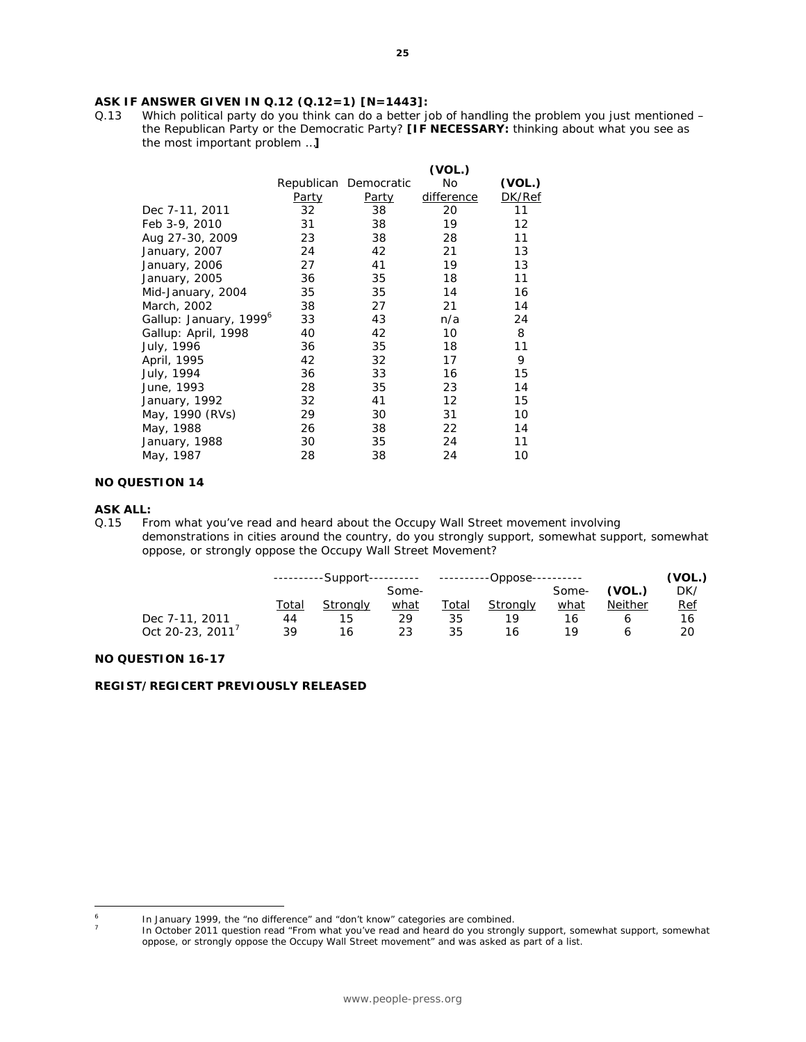# **ASK IF ANSWER GIVEN IN Q.12 (Q.12=1) [N=1443]:** Q.13 Which political party do you think can do a better journed

Which political party do you think can do a better job of handling the problem you just mentioned – the Republican Party or the Democratic Party? **[IF NECESSARY:** thinking about what you see as the most important problem …**]**

|                                    |              |                       | (VOL.)            |        |
|------------------------------------|--------------|-----------------------|-------------------|--------|
|                                    |              | Republican Democratic | No                | (VOL.) |
|                                    | <u>Party</u> | <u>Party</u>          | difference        | DK/Ref |
| Dec 7-11, 2011                     | 32           | 38                    | 20                | 11     |
| Feb 3-9, 2010                      | 31           | 38                    | 19                | 12     |
| Aug 27-30, 2009                    | 23           | 38                    | 28                | 11     |
| January, 2007                      | 24           | 42                    | 21                | 13     |
| January, 2006                      | 27           | 41                    | 19                | 13     |
| January, 2005                      | 36           | 35                    | 18                | 11     |
| Mid-January, 2004                  | 35           | 35                    | 14                | 16     |
| March, 2002                        | 38           | 27                    | 21                | 14     |
| Gallup: January, 1999 <sup>6</sup> | 33           | 43                    | n/a               | 24     |
| Gallup: April, 1998                | 40           | 42                    | 10                | 8      |
| July, 1996                         | 36           | 35                    | 18                | 11     |
| April, 1995                        | 42           | 32                    | 17                | 9      |
| July, 1994                         | 36           | 33                    | 16                | 15     |
| June, 1993                         | 28           | 35                    | 23                | 14     |
| January, 1992                      | 32           | 41                    | $12 \overline{ }$ | 15     |
| May, 1990 <i>(RVs)</i>             | 29           | 30                    | 31                | 10     |
| May, 1988                          | 26           | 38                    | 22                | 14     |
| January, 1988                      | 30           | 35                    | 24                | 11     |
| May, 1987                          | 28           | 38                    | 24                | 10     |

#### **NO QUESTION 14**

#### **ASK ALL:**

 $\overline{6}$ 

7

Q.15 From what you've read and heard about the Occupy Wall Street movement involving demonstrations in cities around the country, do you strongly support, somewhat support, somewhat oppose, or strongly oppose the Occupy Wall Street Movement?

|                  | ----------Support---------- |                 |       | ----------Oppose---------- |          |       |                | (VOL.)     |
|------------------|-----------------------------|-----------------|-------|----------------------------|----------|-------|----------------|------------|
|                  |                             |                 | Some- |                            |          | Some- | (VOL.)         | DK/        |
|                  | Total                       | <b>Strongly</b> | what  | <u>Total</u>               | Stronalv | what  | <b>Neither</b> | <u>Ref</u> |
| Dec 7-11, 2011   | 44                          | 15              | 29    | 35                         | 10       | 16    |                | 16         |
| Oct 20-23, 2011' | 39                          | 16              | 23    | 35                         | 16       | 19    |                | 20         |

#### **NO QUESTION 16-17**

#### **REGIST/REGICERT PREVIOUSLY RELEASED**

In January 1999, the "no difference" and "don't know" categories are combined.

In October 2011 question read "From what you've read and heard do you strongly support, somewhat support, somewhat oppose, or strongly oppose the Occupy Wall Street movement" and was asked as part of a list.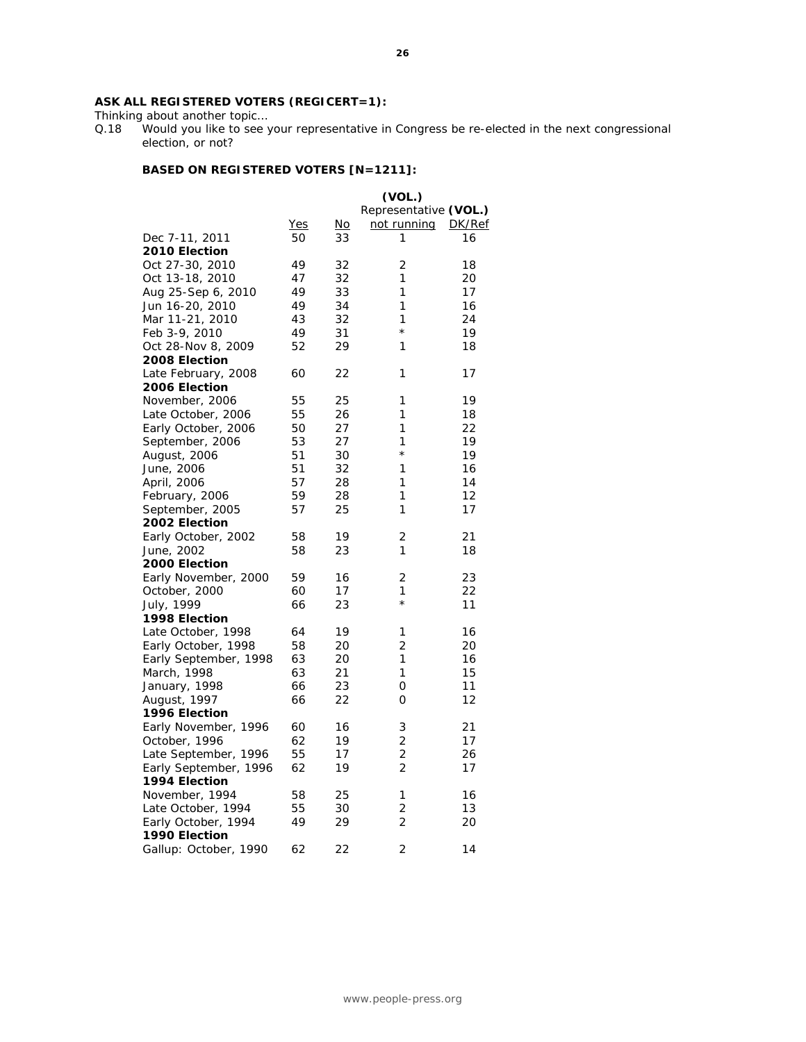#### **ASK ALL REGISTERED VOTERS (REGICERT=1):**

Thinking about another topic...<br>Q.18 Would you like to see y Would you like to see your representative in Congress be re-elected in the next congressional election, or not?

#### **BASED ON REGISTERED VOTERS [N=1211]:**

|                       |            |           | (VOL.)                |               |
|-----------------------|------------|-----------|-----------------------|---------------|
|                       |            |           | Representative (VOL.) |               |
|                       | <u>Yes</u> | <u>No</u> | <u>not running</u>    | <u>DK/Ref</u> |
| Dec 7-11, 2011        | 50         | 33        | 1                     | 16            |
| 2010 Election         |            |           |                       |               |
| Oct 27-30, 2010       | 49         | 32        | 2                     | 18            |
| Oct 13-18, 2010       | 47         | 32        | 1                     | 20            |
| Aug 25-Sep 6, 2010    | 49         | 33        | 1                     | 17            |
| Jun 16-20, 2010       | 49         | 34        | 1                     | 16            |
| Mar 11-21, 2010       | 43         | 32        | 1                     | 24            |
| Feb 3-9, 2010         | 49         | 31        | $^\star$              | 19            |
| Oct 28-Nov 8, 2009    | 52         | 29        | 1                     | 18            |
| 2008 Election         |            |           |                       |               |
| Late February, 2008   | 60         | 22        | 1                     | 17            |
| 2006 Election         |            |           |                       |               |
| November, 2006        | 55         | 25        | 1                     | 19            |
| Late October, 2006    | 55         | 26        | 1                     | 18            |
| Early October, 2006   | 50         | 27        | 1                     | 22            |
| September, 2006       | 53         | 27        | 1                     | 19            |
|                       | 51         | 30        | $^{\star}$            | 19            |
| August, 2006          | 51         | 32        | 1                     | 16            |
| June, 2006            | 57         | 28        | 1                     | 14            |
| April, 2006           | 59         |           | 1                     |               |
| February, 2006        | 57         | 28<br>25  | 1                     | 12            |
| September, 2005       |            |           |                       | 17            |
| 2002 Election         |            |           |                       |               |
| Early October, 2002   | 58         | 19        | 2                     | 21            |
| June, 2002            | 58         | 23        | 1                     | 18            |
| 2000 Election         |            |           |                       |               |
| Early November, 2000  | 59         | 16        | 2                     | 23            |
| October, 2000         | 60         | 17        | 1<br>$^\star$         | 22            |
| July, 1999            | 66         | 23        |                       | 11            |
| 1998 Election         |            |           |                       |               |
| Late October, 1998    | 64         | 19        | 1                     | 16            |
| Early October, 1998   | 58         | 20        | 2                     | 20            |
| Early September, 1998 | 63         | 20        | 1                     | 16            |
| March, 1998           | 63         | 21        | 1                     | 15            |
| January, 1998         | 66         | 23        | 0                     | 11            |
| August, 1997          | 66         | 22        | O                     | 12            |
| 1996 Election         |            |           |                       |               |
| Early November, 1996  | 60         | 16        | 3                     | 21            |
| October, 1996         | 62         | 19        | 2                     | 17            |
| Late September, 1996  | 55         | 17        | 2                     | 26            |
| Early September, 1996 | 62         | 19        | 2                     | 17            |
| 1994 Election         |            |           |                       |               |
| November, 1994        | 58         | 25        | 1                     | 16            |
| Late October, 1994    | 55         | 30        | 2                     | 13            |
| Early October, 1994   | 49         | 29        | 2                     | 20            |
| 1990 Election         |            |           |                       |               |
| Gallup: October, 1990 | 62         | 22        | 2                     | 14            |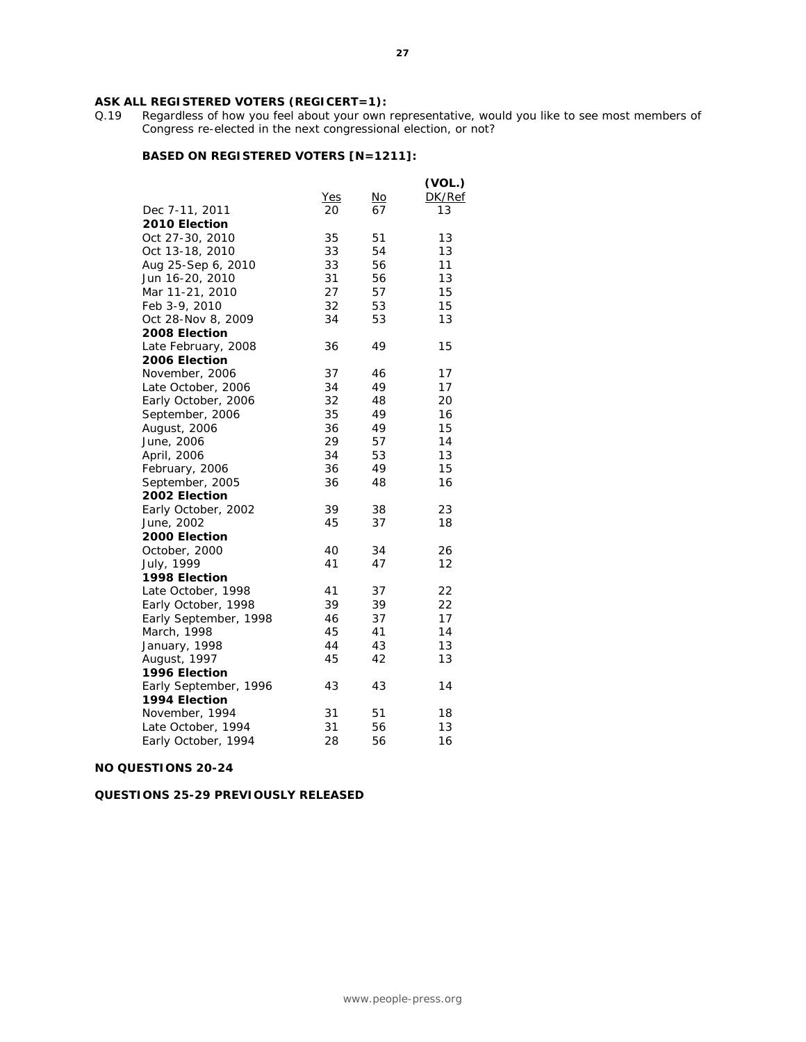# **ASK ALL REGISTERED VOTERS (REGICERT=1):**  $Q.19$  Regardless of how you feel about your own

Regardless of how you feel about your own representative, would you like to see most members of Congress re-elected in the next congressional election, or not?

#### **BASED ON REGISTERED VOTERS [N=1211]:**

|                       |            |           | (VOL.) |
|-----------------------|------------|-----------|--------|
|                       | <u>Yes</u> | <u>No</u> | DK/Ref |
| Dec 7-11, 2011        | 20         | 67        | 13     |
| 2010 Election         |            |           |        |
| Oct 27-30, 2010       | 35         | 51        | 13     |
| Oct 13-18, 2010       | 33         | 54        | 13     |
| Aug 25-Sep 6, 2010    | 33         | 56        | 11     |
| Jun 16-20, 2010       | 31         | 56        | 13     |
| Mar 11-21, 2010       | 27         | 57        | 15     |
| Feb 3-9, 2010         | 32         | 53        | 15     |
| Oct 28-Nov 8, 2009    | 34         | 53        | 13     |
| 2008 Election         |            |           |        |
| Late February, 2008   | 36         | 49        | 15     |
| 2006 Election         |            |           |        |
| November, 2006        | 37         | 46        | 17     |
| Late October, 2006    | 34         | 49        | 17     |
| Early October, 2006   | 32         | 48        | 20     |
| September, 2006       | 35         | 49        | 16     |
| August, 2006          | 36         | 49        | 15     |
| June, 2006            | 29         | 57        | 14     |
| April, 2006           | 34         | 53        | 13     |
| February, 2006        | 36         | 49        | 15     |
| September, 2005       | 36         | 48        | 16     |
| 2002 Election         |            |           |        |
| Early October, 2002   | 39         | 38        | 23     |
| June, 2002            | 45         | 37        | 18     |
| 2000 Election         |            |           |        |
| October, 2000         | 40         | 34        | 26     |
| July, 1999            | 41         | 47        | 12     |
| 1998 Election         |            |           |        |
| Late October, 1998    | 41         | 37        | 22     |
| Early October, 1998   | 39         | 39        | 22     |
| Early September, 1998 | 46         | 37        | 17     |
| March, 1998           | 45         | 41        | 14     |
| January, 1998         | 44         | 43        | 13     |
| August, 1997          | 45         | 42        | 13     |
| 1996 Election         |            |           |        |
| Early September, 1996 | 43         | 43        | 14     |
| 1994 Election         |            |           |        |
| November, 1994        | 31         | 51        | 18     |
| Late October, 1994    | 31         | 56        | 13     |
| Early October, 1994   | 28         | 56        | 16     |
|                       |            |           |        |

#### **NO QUESTIONS 20-24**

#### **QUESTIONS 25-29 PREVIOUSLY RELEASED**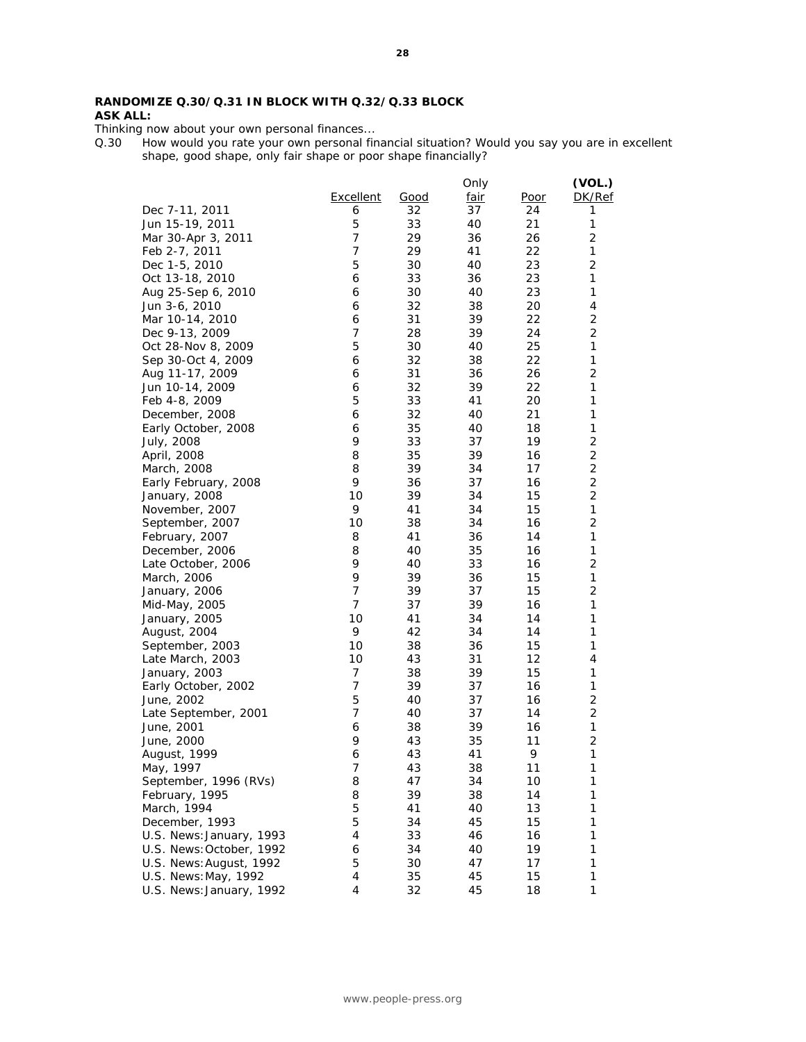#### **RANDOMIZE Q.30/Q.31 IN BLOCK WITH Q.32/Q.33 BLOCK ASK ALL:**

Thinking now about your own personal finances...

Q.30 How would you rate your own personal financial situation? Would you say you are in excellent shape, good shape, only fair shape or poor shape financially?

|                          |                |             | Only        |             | (VOL.)         |
|--------------------------|----------------|-------------|-------------|-------------|----------------|
|                          | Excellent      | <u>Good</u> | <u>fair</u> | <u>Poor</u> | DK/Ref         |
| Dec 7-11, 2011           | 6              | 32          | 37          | 24          | 1              |
| Jun 15-19, 2011          | 5              | 33          | 40          | 21          | 1              |
| Mar 30-Apr 3, 2011       | $\overline{7}$ | 29          | 36          | 26          | $\overline{2}$ |
| Feb 2-7, 2011            | $\overline{7}$ | 29          | 41          | 22          | $\mathbf{1}$   |
| Dec 1-5, 2010            | 5              | 30          | 40          | 23          | $\overline{2}$ |
| Oct 13-18, 2010          | 6              | 33          | 36          | 23          | $\mathbf{1}$   |
| Aug 25-Sep 6, 2010       | 6              | 30          | 40          | 23          | 1              |
| Jun 3-6, 2010            | 6              | 32          | 38          | 20          | 4              |
| Mar 10-14, 2010          | 6              | 31          | 39          | 22          | 2              |
| Dec 9-13, 2009           | 7              | 28          | 39          | 24          | $\overline{2}$ |
| Oct 28-Nov 8, 2009       | 5              | 30          | 40          | 25          | 1              |
| Sep 30-Oct 4, 2009       | 6              | 32          | 38          | 22          | 1              |
| Aug 11-17, 2009          | 6              | 31          | 36          | 26          | $\overline{2}$ |
| Jun 10-14, 2009          | 6              | 32          | 39          | 22          | 1              |
| Feb 4-8, 2009            | 5              | 33          | 41          | 20          | 1              |
| December, 2008           | 6              | 32          | 40          | 21          | 1              |
| Early October, 2008      | 6              | 35          | 40          | 18          | $\mathbf{1}$   |
| July, 2008               | 9              | 33          | 37          | 19          | $\overline{2}$ |
|                          | 8              | 35          | 39          |             | $\overline{c}$ |
| April, 2008              | 8              | 39          |             | 16          | $\overline{2}$ |
| March, 2008              | 9              |             | 34          | 17          | $\overline{c}$ |
| Early February, 2008     |                | 36          | 37          | 16          |                |
| January, 2008            | 10             | 39          | 34          | 15          | $\overline{2}$ |
| November, 2007           | 9              | 41          | 34          | 15          | 1              |
| September, 2007          | 10             | 38          | 34          | 16          | $\overline{2}$ |
| February, 2007           | 8              | 41          | 36          | 14          | 1              |
| December, 2006           | 8              | 40          | 35          | 16          | 1              |
| Late October, 2006       | 9              | 40          | 33          | 16          | $\overline{2}$ |
| March, 2006              | 9              | 39          | 36          | 15          | 1              |
| January, 2006            | 7              | 39          | 37          | 15          | $\sqrt{2}$     |
| Mid-May, 2005            | 7              | 37          | 39          | 16          | 1              |
| January, 2005            | 10             | 41          | 34          | 14          | 1              |
| August, 2004             | 9              | 42          | 34          | 14          | 1              |
| September, 2003          | 10             | 38          | 36          | 15          | 1              |
| Late March, 2003         | 10             | 43          | 31          | 12          | 4              |
| January, 2003            | $\overline{7}$ | 38          | 39          | 15          | 1              |
| Early October, 2002      | 7              | 39          | 37          | 16          | 1              |
| June, 2002               | 5              | 40          | 37          | 16          | 2              |
| Late September, 2001     | $\overline{7}$ | 40          | 37          | 14          | $\overline{2}$ |
| June, 2001               | 6              | 38          | 39          | 16          | 1              |
| June, 2000               | 9              | 43          | 35          | 11          | $\overline{2}$ |
| August, 1999             | 6              | 43          | 41          | 9           | 1              |
| May, 1997                | 7              | 43          | 38          | 11          | 1              |
| September, 1996 (RVs)    | 8              | 47          | 34          | 10          | 1              |
| February, 1995           | 8              | 39          | 38          | 14          | 1              |
| March, 1994              | 5              | 41          | 40          | 13          | 1              |
| December, 1993           | 5              | 34          | 45          | 15          | 1              |
| U.S. News: January, 1993 | 4              | 33          | 46          | 16          | 1              |
| U.S. News: October, 1992 | 6              | 34          | 40          | 19          | 1              |
| U.S. News: August, 1992  | 5              | 30          | 47          | 17          | 1              |
| U.S. News: May, 1992     | 4              | 35          | 45          | 15          | 1              |
| U.S. News: January, 1992 | 4              | 32          | 45          | 18          | 1              |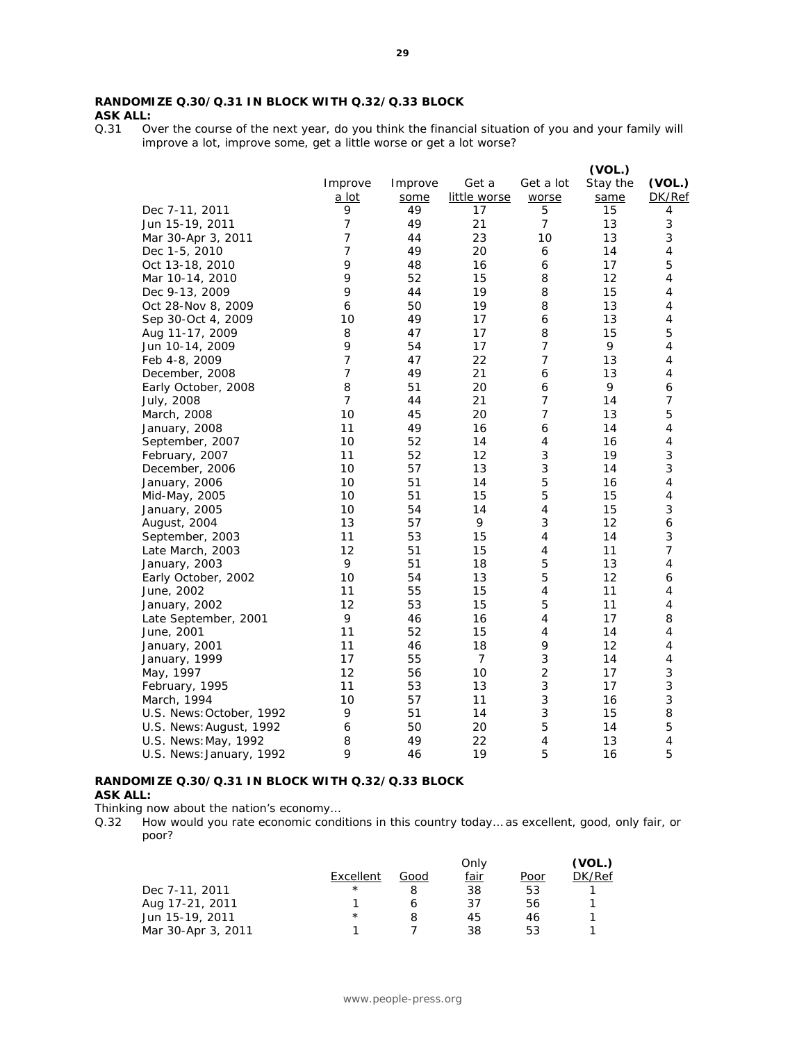Over the course of the next year, do you think the financial situation of you and your family will improve a lot, improve some, get a little worse or get a lot worse?

|                          |                |         |                |                           | (VOL.)   |                           |
|--------------------------|----------------|---------|----------------|---------------------------|----------|---------------------------|
|                          | Improve        | Improve | Get a          | Get a lot                 | Stay the | (VOL.)                    |
|                          | a lot          | some    | little worse   | worse                     | same     | DK/Ref                    |
| Dec 7-11, 2011           | 9              | 49      | 17             | 5                         | 15       | 4                         |
| Jun 15-19, 2011          | $\overline{7}$ | 49      | 21             | $\overline{7}$            | 13       | $\ensuremath{\mathsf{3}}$ |
| Mar 30-Apr 3, 2011       | $\overline{7}$ | 44      | 23             | 10                        | 13       | 3                         |
| Dec 1-5, 2010            | $\overline{7}$ | 49      | 20             | 6                         | 14       | $\sqrt{4}$                |
| Oct 13-18, 2010          | 9              | 48      | 16             | 6                         | 17       | 5                         |
| Mar 10-14, 2010          | 9              | 52      | 15             | 8                         | 12       | 4                         |
| Dec 9-13, 2009           | 9              | 44      | 19             | 8                         | 15       | 4                         |
| Oct 28-Nov 8, 2009       | 6              | 50      | 19             | 8                         | 13       | $\sqrt{4}$                |
| Sep 30-Oct 4, 2009       | 10             | 49      | 17             | 6                         | 13       | 4                         |
| Aug 11-17, 2009          | 8              | 47      | 17             | 8                         | 15       | 5                         |
| Jun 10-14, 2009          | 9              | 54      | 17             | $\boldsymbol{7}$          | 9        | $\sqrt{4}$                |
| Feb 4-8, 2009            | $\overline{7}$ | 47      | 22             | $\overline{7}$            | 13       | 4                         |
| December, 2008           | $\overline{7}$ | 49      | 21             | 6                         | 13       | 4                         |
| Early October, 2008      | 8              | 51      | 20             | 6                         | 9        | 6                         |
| July, 2008               | $\overline{7}$ | 44      | 21             | $\overline{7}$            | 14       | $\overline{7}$            |
| March, 2008              | 10             | 45      | 20             | $\overline{7}$            | 13       | 5                         |
| January, 2008            | 11             | 49      | 16             | 6                         | 14       | 4                         |
| September, 2007          | 10             | 52      | 14             | 4                         | 16       | 4                         |
| February, 2007           | 11             | 52      | 12             | $\ensuremath{\mathsf{3}}$ | 19       | 3                         |
| December, 2006           | 10             | 57      | 13             | 3                         | 14       | 3                         |
| January, 2006            | 10             | 51      | 14             | 5                         | 16       | $\overline{\mathbf{4}}$   |
| Mid-May, 2005            | 10             | 51      | 15             | 5                         | 15       | 4                         |
| January, 2005            | 10             | 54      | 14             | $\sqrt{4}$                | 15       | 3                         |
| August, 2004             | 13             | 57      | 9              | 3                         | 12       | 6                         |
| September, 2003          | 11             | 53      | 15             | $\sqrt{4}$                | 14       | 3                         |
| Late March, 2003         | 12             | 51      | 15             | $\sqrt{4}$                | 11       | $\overline{7}$            |
| January, 2003            | 9              | 51      | 18             | 5                         | 13       | $\sqrt{4}$                |
| Early October, 2002      | 10             | 54      | 13             | 5                         | 12       | 6                         |
| June, 2002               | 11             | 55      | 15             | $\sqrt{4}$                | 11       | 4                         |
| January, 2002            | 12             | 53      | 15             | 5                         | 11       | 4                         |
| Late September, 2001     | 9              | 46      | 16             | $\sqrt{4}$                | 17       | 8                         |
| June, 2001               | 11             | 52      | 15             | $\sqrt{4}$                | 14       | 4                         |
| January, 2001            | 11             | 46      | 18             | 9                         | 12       | 4                         |
| January, 1999            | 17             | 55      | $\overline{7}$ | 3                         | 14       | $\sqrt{4}$                |
| May, 1997                | 12             | 56      | 10             | $\overline{c}$            | 17       | $\ensuremath{\mathsf{3}}$ |
| February, 1995           | 11             | 53      | 13             | $\sqrt{3}$                | 17       | 3                         |
| March, 1994              | 10             | 57      | 11             | $\ensuremath{\mathsf{3}}$ | 16       | 3                         |
| U.S. News: October, 1992 | 9              | 51      | 14             | 3                         | 15       | 8                         |
| U.S. News: August, 1992  | 6              | 50      | 20             | 5                         | 14       | 5                         |
| U.S. News: May, 1992     | 8              | 49      | 22             | 4                         | 13       | 4                         |
| U.S. News: January, 1992 | $\mathsf Q$    | 46      | 19             | 5                         | 16       | 5                         |
|                          |                |         |                |                           |          |                           |

#### **RANDOMIZE Q.30/Q.31 IN BLOCK WITH Q.32/Q.33 BLOCK ASK ALL:**

Thinking now about the nation's economy…

Q.32 How would you rate economic conditions in this country today… as excellent, good, only fair, or poor?

|            |      | Only        |      | VOL.,  |
|------------|------|-------------|------|--------|
| Excellent  | Good | <u>fair</u> | Poor | DK/Ref |
| $\star$    |      | 38          | 53   |        |
|            |      | 37          | 56   |        |
| $^{\star}$ |      | 45          | 46   |        |
|            |      | 38          | 53   |        |
|            |      |             |      |        |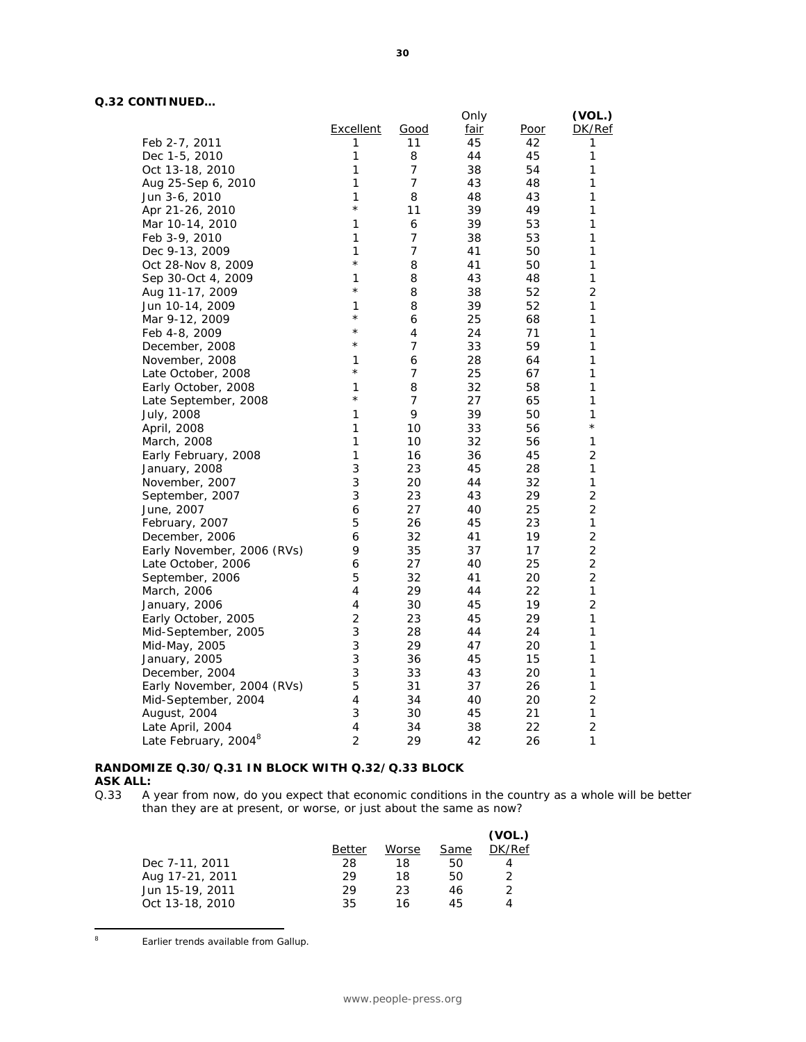#### **Q.32 CONTINUED…**

|                                  |                  |                | Only        |             | (VOL.)         |
|----------------------------------|------------------|----------------|-------------|-------------|----------------|
|                                  | <b>Excellent</b> | <u>Good</u>    | <u>fair</u> | <u>Poor</u> | DK/Ref         |
| Feb 2-7, 2011                    | 1                | 11             | 45          | 42          | 1              |
| Dec 1-5, 2010                    | 1                | 8              | 44          | 45          | 1              |
| Oct 13-18, 2010                  | 1                | 7              | 38          | 54          | 1              |
| Aug 25-Sep 6, 2010               | 1                | $\overline{7}$ | 43          | 48          | 1              |
| Jun 3-6, 2010                    | 1                | 8              | 48          | 43          | 1              |
| Apr 21-26, 2010                  | $\star$          | 11             | 39          | 49          | 1              |
| Mar 10-14, 2010                  | 1                | 6              | 39          | 53          | 1              |
| Feb 3-9, 2010                    | 1                | 7              | 38          | 53          | 1              |
| Dec 9-13, 2009                   | 1                | 7              | 41          | 50          | 1              |
| Oct 28-Nov 8, 2009               | $\star$          | 8              | 41          | 50          | 1              |
| Sep 30-Oct 4, 2009               | 1                | 8              | 43          | 48          | 1              |
| Aug 11-17, 2009                  | $\star$          | 8              | 38          | 52          | 2              |
| Jun 10-14, 2009                  | 1                | 8              | 39          | 52          | 1              |
| Mar 9-12, 2009                   | $\star$          | 6              | 25          | 68          | 1              |
| Feb 4-8, 2009                    | $^\star$         | 4              | 24          | 71          | 1              |
| December, 2008                   | $^\star$         | 7              | 33          | 59          | 1              |
| November, 2008                   | 1                | 6              | 28          | 64          | 1              |
| Late October, 2008               | $^\star$         | 7              | 25          | 67          | 1              |
| Early October, 2008              | 1                | 8              | 32          | 58          | 1              |
| Late September, 2008             | $^\star$         | $\overline{7}$ | 27          | 65          | 1              |
| July, 2008                       | 1                | 9              | 39          | 50          | 1              |
| April, 2008                      | 1                | 10             | 33          | 56          | $^\star$       |
| March, 2008                      | 1                | 10             | 32          | 56          | 1              |
| Early February, 2008             | 1                | 16             | 36          | 45          | 2              |
| January, 2008                    | 3                | 23             | 45          | 28          | 1              |
| November, 2007                   | 3                | 20             | 44          | 32          | 1              |
| September, 2007                  | 3                | 23             | 43          | 29          | $\overline{c}$ |
| June, 2007                       | 6                | 27             | 40          | 25          | 2              |
| February, 2007                   | 5                | 26             | 45          | 23          | 1              |
| December, 2006                   | 6                | 32             | 41          | 19          | 2              |
| Early November, 2006 (RVs)       | 9                | 35             | 37          | 17          | $\overline{2}$ |
| Late October, 2006               | 6                | 27             | 40          | 25          | $\overline{2}$ |
| September, 2006                  | 5                | 32             | 41          | 20          | 2              |
| March, 2006                      | 4                | 29             | 44          | 22          | 1              |
| January, 2006                    | 4                | 30             | 45          | 19          | 2              |
| Early October, 2005              | $\overline{2}$   | 23             | 45          | 29          | 1              |
| Mid-September, 2005              | 3                | 28             | 44          | 24          | 1              |
| Mid-May, 2005                    | 3                | 29             | 47          | 20          | 1              |
| January, 2005                    | 3                | 36             | 45          | 15          | 1              |
| December, 2004                   | 3                | 33             | 43          | 20          | 1              |
| Early November, 2004 (RVs)       | 5                | 31             | 37          | 26          | 1              |
| Mid-September, 2004              | 4                | 34             | 40          | 20          | 2              |
| August, 2004                     | 3                | 30             | 45          | 21          | 1              |
| Late April, 2004                 | 4                | 34             | 38          | 22          | 2              |
| Late February, 2004 <sup>8</sup> | $\overline{2}$   | 29             | 42          | 26          | 1              |

# **RANDOMIZE Q.30/Q.31 IN BLOCK WITH Q.32/Q.33 BLOCK ASK ALL:**<br>0.33 A

A year from now, do you expect that economic conditions in the country as a whole will be better than they are at present, or worse, or just about the same as now?

|                 |        |       |      | (VOL.)        |
|-----------------|--------|-------|------|---------------|
|                 | Better | Worse | Same | DK/Ref        |
| Dec 7-11, 2011  | 28     | 18    | 50   |               |
| Aug 17-21, 2011 | 29     | 18    | 50   |               |
| Jun 15-19, 2011 | 29     | 23    | 46   | $\mathcal{D}$ |
| Oct 13-18, 2010 | 35     | 16    | 45   | 4             |
|                 |        |       |      |               |

 $\frac{1}{8}$ Earlier trends available from Gallup.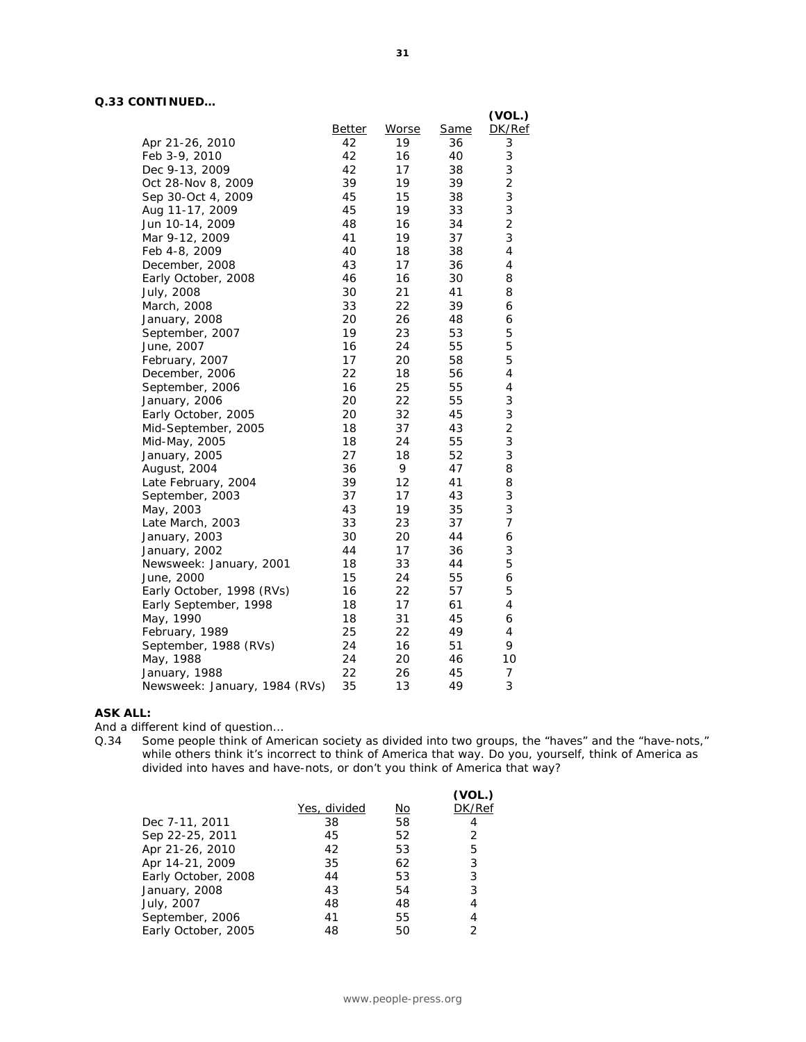#### **Q.33 CONTINUED…**

|                               |               |              |             | (VOL.)                  |
|-------------------------------|---------------|--------------|-------------|-------------------------|
|                               | <b>Better</b> | <b>Worse</b> | <b>Same</b> | DK/Ref                  |
| Apr 21-26, 2010               | 42            | 19           | 36          | 3                       |
| Feb 3-9, 2010                 | 42            | 16           | 40          | 3                       |
| Dec 9-13, 2009                | 42            | 17           | 38          | 3                       |
| Oct 28-Nov 8, 2009            | 39            | 19           | 39          | $\overline{c}$          |
| Sep 30-Oct 4, 2009            | 45            | 15           | 38          | 3                       |
| Aug 11-17, 2009               | 45            | 19           | 33          | 3                       |
| Jun 10-14, 2009               | 48            | 16           | 34          | $\overline{c}$          |
| Mar 9-12, 2009                | 41            | 19           | 37          | 3                       |
| Feb 4-8, 2009                 | 40            | 18           | 38          | $\overline{\mathbf{4}}$ |
| December, 2008                | 43            | 17           | 36          | 4                       |
| Early October, 2008           | 46            | 16           | 30          | 8                       |
| July, 2008                    | 30            | 21           | 41          | 8                       |
| March, 2008                   | 33            | 22           | 39          | 6                       |
| January, 2008                 | 20            | 26           | 48          | 6                       |
| September, 2007               | 19            | 23           | 53          | 5                       |
| June, 2007                    | 16            | 24           | 55          | 5                       |
| February, 2007                | 17            | 20           | 58          | 5                       |
| December, 2006                | 22            | 18           | 56          | 4                       |
| September, 2006               | 16            | 25           | 55          | $\sqrt{4}$              |
| January, 2006                 | 20            | 22           | 55          | 3                       |
| Early October, 2005           | 20            | 32           | 45          | 3                       |
| Mid-September, 2005           | 18            | 37           | 43          | $\overline{2}$          |
| Mid-May, 2005                 | 18            | 24           | 55          | 3                       |
| January, 2005                 | 27            | 18           | 52          | 3                       |
| August, 2004                  | 36            | 9            | 47          | 8                       |
| Late February, 2004           | 39            | 12           | 41          | 8                       |
| September, 2003               | 37            | 17           | 43          | 3                       |
| May, 2003                     | 43            | 19           | 35          | 3                       |
| Late March, 2003              | 33            | 23           | 37          | $\overline{7}$          |
| January, 2003                 | 30            | 20           | 44          | 6                       |
| January, 2002                 | 44            | 17           | 36          | 3                       |
| Newsweek: January, 2001       | 18            | 33           | 44          | 5                       |
| June, 2000                    | 15            | 24           | 55          | 6                       |
| Early October, 1998 (RVs)     | 16            | 22           | 57          | 5                       |
| Early September, 1998         | 18            | 17           | 61          | $\overline{4}$          |
| May, 1990                     | 18            | 31           | 45          | 6                       |
| February, 1989                | 25            | 22           | 49          | 4                       |
| September, 1988 (RVs)         | 24            | 16           | 51          | 9                       |
| May, 1988                     | 24            | 20           | 46          | 10                      |
| January, 1988                 | 22            | 26           | 45          | 7                       |
| Newsweek: January, 1984 (RVs) | 35            | 13           | 49          | 3                       |
|                               |               |              |             |                         |

#### **ASK ALL:**

And a different kind of question…

Q.34 Some people think of American society as divided into two groups, the "haves" and the "have-nots," while others think it's incorrect to think of America that way. Do you, yourself, think of America as divided into haves and have-nots, or don't you think of America that way?

|                     |              |           | (VOL.) |
|---------------------|--------------|-----------|--------|
|                     | Yes, divided | <u>No</u> | DK/Ref |
| Dec 7-11, 2011      | 38           | 58        | 4      |
| Sep 22-25, 2011     | 45           | 52        | 2      |
| Apr 21-26, 2010     | 42           | 53        | 5      |
| Apr 14-21, 2009     | 35           | 62        | 3      |
| Early October, 2008 | 44           | 53        | 3      |
| January, 2008       | 43           | 54        | 3      |
| July, 2007          | 48           | 48        | 4      |
| September, 2006     | 41           | 55        | 4      |
| Early October, 2005 | 48           | 50        | っ      |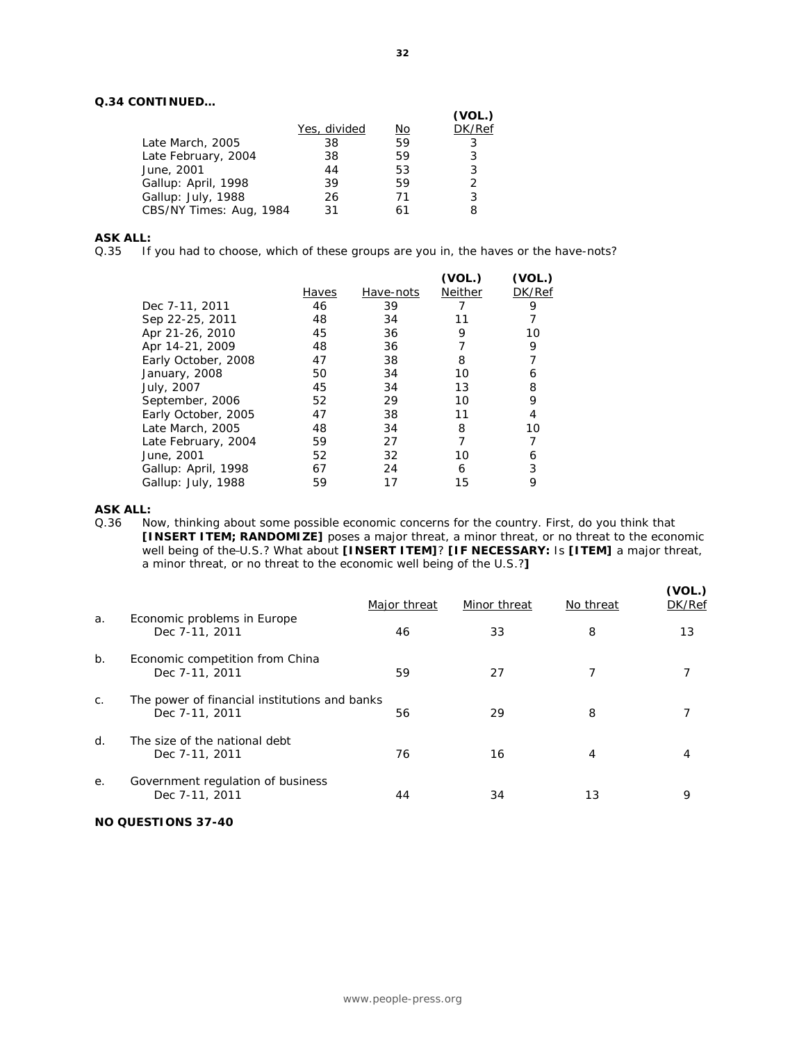#### **Q.34 CONTINUED…**

|                         |              |    | (VOL.) |
|-------------------------|--------------|----|--------|
|                         | Yes, divided | No | DK/Ref |
| Late March, 2005        | 38           | 59 |        |
| Late February, 2004     | 38           | 59 | 3      |
| June, 2001              | 44           | 53 | 3      |
| Gallup: April, 1998     | 39           | 59 | っ      |
| Gallup: July, 1988      | 26           | 71 | 3      |
| CBS/NY Times: Aug, 1984 | 31           |    | 8      |

#### **ASK ALL:**

Q.35 If you had to choose, which of these groups are you in, the haves or the have-nots?

|                     | Haves | Have-nots | (VOL.)<br>Neither | (VOL.)<br>DK/Ref |
|---------------------|-------|-----------|-------------------|------------------|
| Dec 7-11, 2011      | 46    | 39        |                   | 9                |
|                     |       |           |                   |                  |
| Sep 22-25, 2011     | 48    | 34        | 11                |                  |
| Apr 21-26, 2010     | 45    | 36        | 9                 | 10               |
| Apr 14-21, 2009     | 48    | 36        |                   | 9                |
| Early October, 2008 | 47    | 38        | 8                 |                  |
| January, 2008       | 50    | 34        | 10                | 6                |
| July, 2007          | 45    | 34        | 13                | 8                |
| September, 2006     | 52    | 29        | 10                | 9                |
| Early October, 2005 | 47    | 38        | 11                | 4                |
| Late March, 2005    | 48    | 34        | 8                 | 10               |
| Late February, 2004 | 59    | 27        |                   |                  |
| June, 2001          | 52    | 32        | 10                | 6                |
| Gallup: April, 1998 | 67    | 24        | 6                 | 3                |
| Gallup: July, 1988  | 59    |           | 15                | 9                |
|                     |       |           |                   |                  |

# **ASK ALL:**<br>Q.36 No

Now, thinking about some possible economic concerns for the country. First, do you think that **[INSERT ITEM; RANDOMIZE]** poses a major threat, a minor threat, or no threat to the economic well being of the U.S.? What about **[INSERT ITEM]**? **[IF NECESSARY:** Is **[ITEM]** a major threat, a minor threat, or no threat to the economic well being of the U.S.?**]**

|                |                                                                 | Major threat | Minor threat | No threat | (VOL.)<br>DK/Ref |
|----------------|-----------------------------------------------------------------|--------------|--------------|-----------|------------------|
| a.             | Economic problems in Europe<br>Dec 7-11, 2011                   | 46           | 33           | 8         | 13               |
| b.             | Economic competition from China<br>Dec 7-11, 2011               | 59           | 27           |           |                  |
| C <sub>1</sub> | The power of financial institutions and banks<br>Dec 7-11, 2011 | 56           | 29           | 8         |                  |
| $d$ .          | The size of the national debt<br>Dec 7-11, 2011                 | 76           | 16           | 4         |                  |
| е.             | Government regulation of business<br>Dec 7-11, 2011             | 44           | 34           | 13        | 9                |

#### **NO QUESTIONS 37-40**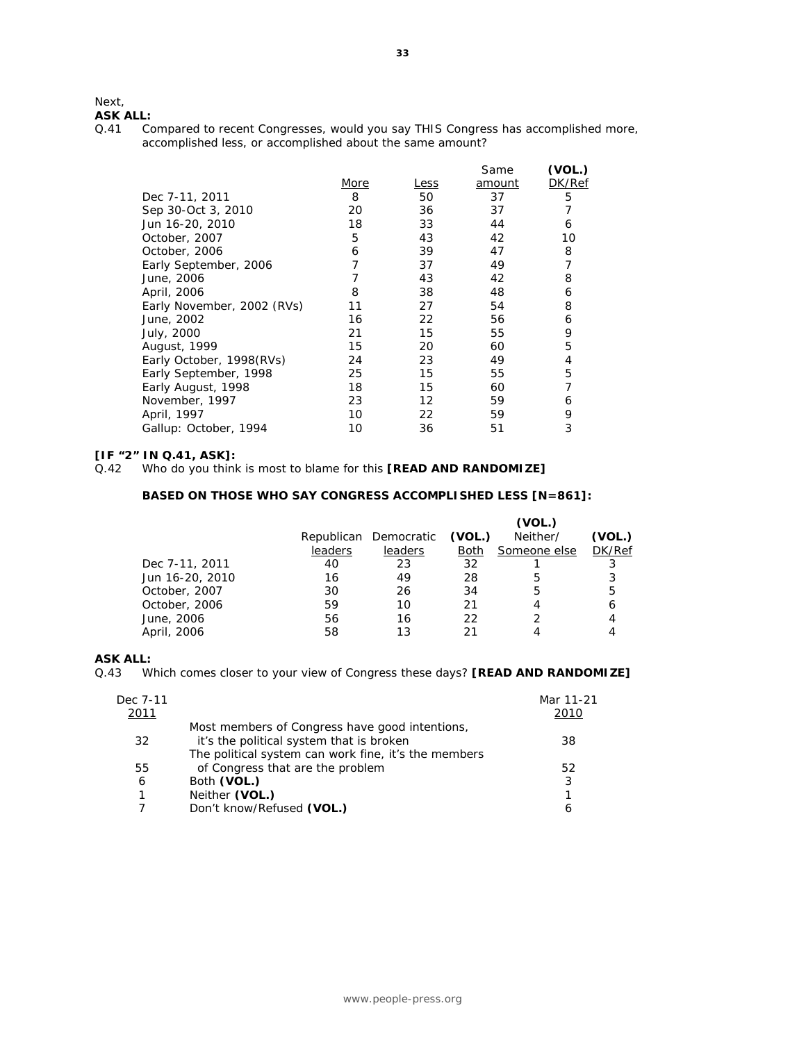#### Next,

# **ASK ALL:**<br>Q.41 Co

Compared to recent Congresses, would you say THIS Congress has accomplished more, accomplished less, or accomplished about the same amount?

|                            |      |      | Same   | (VOL.) |
|----------------------------|------|------|--------|--------|
|                            | More | Less | amount | DK/Ref |
| Dec 7-11, 2011             | 8    | 50   | 37     | 5      |
| Sep 30-Oct 3, 2010         | 20   | 36   | 37     |        |
| Jun 16-20, 2010            | 18   | 33   | 44     | 6      |
| October, 2007              | 5    | 43   | 42     | 10     |
| October, 2006              | 6    | 39   | 47     | 8      |
| Early September, 2006      |      | 37   | 49     |        |
| June, 2006                 |      | 43   | 42     | 8      |
| April, 2006                | 8    | 38   | 48     | 6      |
| Early November, 2002 (RVs) | 11   | 27   | 54     | 8      |
| June, 2002                 | 16   | 22   | 56     | 6      |
| July, 2000                 | 21   | 15   | 55     | 9      |
| August, 1999               | 15   | 20   | 60     | 5      |
| Early October, 1998(RVs)   | 24   | 23   | 49     | 4      |
| Early September, 1998      | 25   | 15   | 55     | 5      |
| Early August, 1998         | 18   | 15   | 60     |        |
| November, 1997             | 23   | 12   | 59     | 6      |
| April, 1997                | 10   | 22   | 59     | 9      |
| Gallup: October, 1994      | 10   | 36   | 51     | 3      |
|                            |      |      |        |        |

#### **[IF "2" IN Q.41, ASK]:**

#### **BASED ON THOSE WHO SAY CONGRESS ACCOMPLISHED LESS [N=861]:**

|                 |         |                       |        | (VOL.)       |        |
|-----------------|---------|-----------------------|--------|--------------|--------|
|                 |         | Republican Democratic | (VOL.) | Neither/     | (VOL.) |
|                 | leaders | leaders               | Both   | Someone else | DK/Ref |
| Dec 7-11, 2011  | 40      | 23                    | 32     |              | 3      |
| Jun 16-20, 2010 | 16      | 49                    | 28     | 5            | 3      |
| October, 2007   | 30      | 26                    | 34     | 5            | 5      |
| October, 2006   | 59      | 10                    | 21     |              | 6      |
| June, 2006      | 56      | 16                    | 22     |              |        |
| April, 2006     | 58      | 13                    |        |              |        |

#### **ASK ALL:**

Q.43 Which comes closer to your view of Congress these days? **[READ AND RANDOMIZE]**

| Dec 7-11<br>2011 |                                                                                                                                                    | Mar 11-21<br>2010 |
|------------------|----------------------------------------------------------------------------------------------------------------------------------------------------|-------------------|
| 32               | Most members of Congress have good intentions,<br>it's the political system that is broken<br>The political system can work fine, it's the members | 38                |
| 55               | of Congress that are the problem                                                                                                                   | 52                |
| 6                | Both (VOL.)                                                                                                                                        | 3                 |
| 1                | Neither (VOL.)                                                                                                                                     |                   |
|                  | Don't know/Refused (VOL.)                                                                                                                          | 6                 |

Q.42 Who do you think is most to blame for this **[READ AND RANDOMIZE]**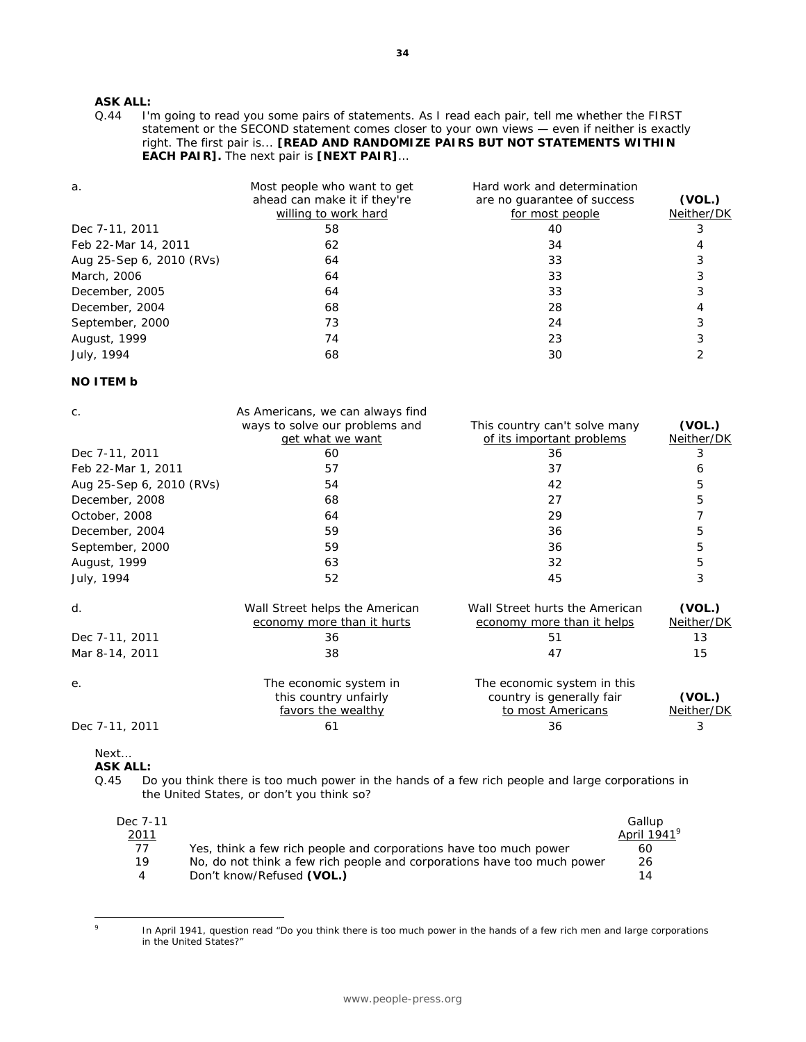# **ASK ALL:**<br>Q.44 **I'r**

I'm going to read you some pairs of statements. As I read each pair, tell me whether the FIRST statement or the SECOND statement comes closer to your own views — even if neither is exactly right. The first pair is... **[READ AND RANDOMIZE PAIRS BUT NOT STATEMENTS WITHIN EACH PAIR].** The next pair is **[NEXT PAIR]**…

| a.                       | Most people who want to get<br>ahead can make it if they're<br>willing to work hard | Hard work and determination<br>are no quarantee of success<br>for most people | (VOL.)<br>Neither/DK |
|--------------------------|-------------------------------------------------------------------------------------|-------------------------------------------------------------------------------|----------------------|
| Dec 7-11, 2011           | 58                                                                                  | 40                                                                            |                      |
| Feb 22-Mar 14, 2011      | 62                                                                                  | 34                                                                            |                      |
| Aug 25-Sep 6, 2010 (RVs) | 64                                                                                  | 33                                                                            |                      |
| March, 2006              | 64                                                                                  | 33                                                                            |                      |
| December, 2005           | 64                                                                                  | 33                                                                            |                      |
| December, 2004           | 68                                                                                  | 28                                                                            |                      |
| September, 2000          | 73                                                                                  | 24                                                                            |                      |
| August, 1999             | 74                                                                                  | 23                                                                            |                      |
| July, 1994               | 68                                                                                  | 30                                                                            |                      |

#### **NO ITEM b**

| C.                       | As Americans, we can always find<br>ways to solve our problems and    | This country can't solve many                                                 | (VOL.)               |
|--------------------------|-----------------------------------------------------------------------|-------------------------------------------------------------------------------|----------------------|
|                          | get what we want<br>60                                                | of its important problems                                                     | Neither/DK           |
| Dec 7-11, 2011           |                                                                       | 36                                                                            | 3                    |
| Feb 22-Mar 1, 2011       | 57                                                                    | 37                                                                            | 6                    |
| Aug 25-Sep 6, 2010 (RVs) | 54                                                                    | 42                                                                            | 5                    |
| December, 2008           | 68                                                                    | 27                                                                            | 5                    |
| October, 2008            | 64                                                                    | 29                                                                            |                      |
| December, 2004           | 59                                                                    | 36                                                                            | 5                    |
| September, 2000          | 59                                                                    | 36                                                                            | 5                    |
| August, 1999             | 63                                                                    | 32                                                                            | 5                    |
| July, 1994               | 52                                                                    | 45                                                                            | 3                    |
| d.                       | Wall Street helps the American<br>economy more than it hurts          | Wall Street hurts the American<br>economy more than it helps                  | (VOL.)<br>Neither/DK |
| Dec 7-11, 2011           | 36                                                                    | 51                                                                            | 13                   |
| Mar 8-14, 2011           | 38                                                                    | 47                                                                            | 15                   |
| е.                       | The economic system in<br>this country unfairly<br>favors the wealthy | The economic system in this<br>country is generally fair<br>to most Americans | (VOL.)<br>Neither/DK |
| Dec 7-11, 2011           | 61                                                                    | 36                                                                            | 3                    |

Next…

-<br>9

**ASK ALL:**<br>Q.45 Do

Do you think there is too much power in the hands of a few rich people and large corporations in the United States, or don't you think so?

| Dec. 7-11      |                                                                         | Gallup                  |
|----------------|-------------------------------------------------------------------------|-------------------------|
| <u> 2011</u>   |                                                                         | April 1941 <sup>9</sup> |
| 77             | Yes, think a few rich people and corporations have too much power       | 60                      |
| 19             | No, do not think a few rich people and corporations have too much power | 26                      |
| $\overline{A}$ | Don't know/Refused (VOL.)                                               | 14                      |
|                |                                                                         |                         |

In April 1941, question read "Do you think there is too much power in the hands of a few rich men and large corporations in the United States?"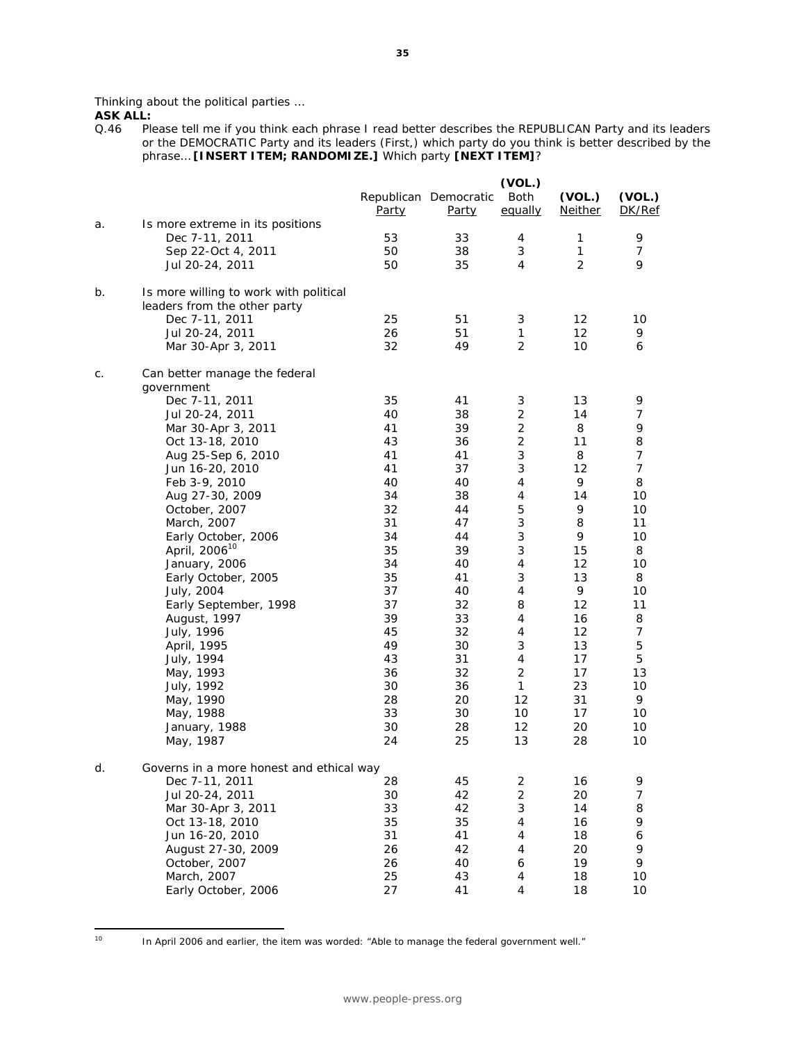Thinking about the political parties …

**ASK ALL:**<br>Q.46 Ple Please tell me if you think each phrase I read better describes the REPUBLICAN Party and its leaders or the DEMOCRATIC Party and its leaders (First,) which party do you think is better described by the phrase… **[INSERT ITEM; RANDOMIZE.]** Which party **[NEXT ITEM]**?

|    |                                                                        | Party    | Republican Democratic<br>Party | (VOL.)<br>Both<br>equally | (VOL.)<br>Neither | (VOL.)<br>DK/Ref |
|----|------------------------------------------------------------------------|----------|--------------------------------|---------------------------|-------------------|------------------|
| a. | Is more extreme in its positions                                       |          |                                |                           |                   |                  |
|    | Dec 7-11, 2011                                                         | 53       | 33                             | 4                         | 1                 | 9                |
|    | Sep 22-Oct 4, 2011                                                     | 50       | 38                             | 3                         | 1                 | 7                |
|    | Jul 20-24, 2011                                                        | 50       | 35                             | 4                         | $\overline{2}$    | 9                |
| b. | Is more willing to work with political<br>leaders from the other party |          |                                |                           |                   |                  |
|    | Dec 7-11, 2011                                                         | 25       | 51                             | 3                         | 12                | 10               |
|    | Jul 20-24, 2011                                                        | 26       | 51                             | $\mathbf{1}$              | $12 \overline{ }$ | 9                |
|    | Mar 30-Apr 3, 2011                                                     | 32       | 49                             | $\overline{2}$            | 10                | 6                |
| C. | Can better manage the federal<br>government                            |          |                                |                           |                   |                  |
|    | Dec 7-11, 2011                                                         | 35       | 41                             | 3                         | 13                | 9                |
|    | Jul 20-24, 2011                                                        | 40       | 38                             | $\overline{2}$            | 14                | 7                |
|    | Mar 30-Apr 3, 2011                                                     | 41       | 39                             | $\overline{2}$            | 8                 | 9                |
|    | Oct 13-18, 2010                                                        | 43       | 36                             | $\overline{2}$            | 11                | 8                |
|    | Aug 25-Sep 6, 2010                                                     | 41       | 41                             | 3                         | 8                 | 7                |
|    | Jun 16-20, 2010                                                        | 41       | 37                             | 3                         | 12                | $\overline{7}$   |
|    | Feb 3-9, 2010                                                          | 40       | 40                             | 4                         | 9                 | 8                |
|    | Aug 27-30, 2009                                                        | 34       | 38                             | 4                         | 14                | 10               |
|    | October, 2007                                                          | 32       | 44                             | 5                         | 9                 | 10               |
|    | March, 2007                                                            | 31       | 47                             | 3                         | 8                 | 11               |
|    | Early October, 2006                                                    | 34       | 44                             | 3                         | 9                 | 10               |
|    | April, 2006 <sup>10</sup>                                              | 35       | 39                             | 3                         | 15                | 8                |
|    | January, 2006                                                          | 34       | 40                             | $\overline{4}$            | 12                | 10               |
|    | Early October, 2005                                                    | 35       | 41                             | 3                         | 13                | 8                |
|    | July, 2004                                                             | 37       | 40                             | 4                         | 9                 | 10               |
|    | Early September, 1998                                                  | 37       | 32                             | 8                         | 12                | 11               |
|    | August, 1997                                                           | 39       | 33                             | 4                         | 16                | 8                |
|    | July, 1996                                                             | 45       | 32                             | $\overline{4}$            | 12                | $\overline{7}$   |
|    | April, 1995                                                            | 49<br>43 | 30                             | 3<br>4                    | 13<br>17          | 5<br>5           |
|    | July, 1994                                                             | 36       | 31<br>32                       | $\overline{2}$            | 17                | 13               |
|    | May, 1993<br>July, 1992                                                | 30       | 36                             | $\mathbf{1}$              | 23                | 10               |
|    | May, 1990                                                              | 28       | 20                             | 12                        | 31                | 9                |
|    | May, 1988                                                              | 33       | 30                             | 10                        | 17                | 10               |
|    | January, 1988                                                          | 30       | 28                             | 12                        | 20                | 10               |
|    | May, 1987                                                              | 24       | 25                             | 13                        | 28                | 10               |
| a. | Governs in a more honest and ethical way                               |          |                                |                           |                   |                  |
|    | Dec 7-11, 2011                                                         | 28       | 45                             | $\overline{c}$            | 16                | 9                |
|    | Jul 20-24, 2011                                                        | 30       | 42                             | 2                         | 20                | 7                |
|    | Mar 30-Apr 3, 2011                                                     | 33       | 42                             | 3                         | 14                | 8                |
|    | Oct 13-18, 2010                                                        | 35       | 35                             | 4                         | 16                | 9                |
|    | Jun 16-20, 2010                                                        | 31       | 41                             | 4                         | 18                | 6                |
|    | August 27-30, 2009                                                     | 26       | 42                             | 4                         | 20                | 9                |
|    | October, 2007                                                          | 26       | 40                             | 6                         | 19                | 9                |
|    | March, 2007                                                            | 25       | 43                             | 4                         | 18                | 10               |
|    | Early October, 2006                                                    | 27       | 41                             | 4                         | 18                | 10               |

 $10<sup>10</sup>$ 

In April 2006 and earlier, the item was worded: "Able to manage the federal government well."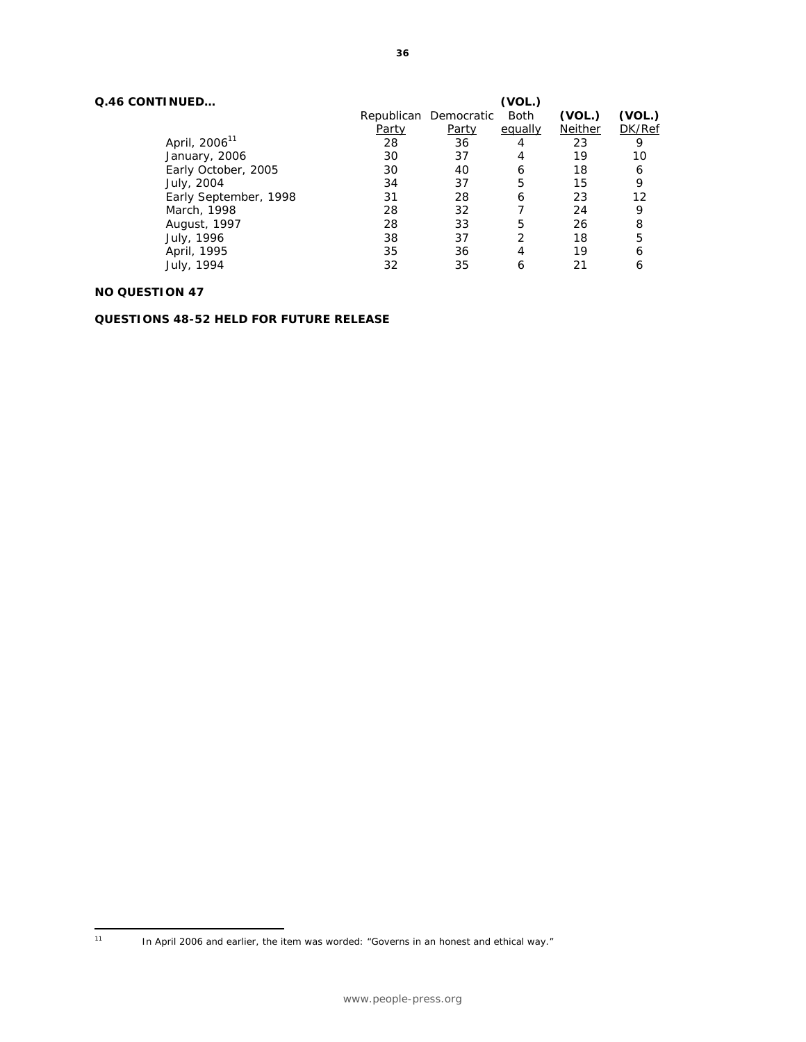|       |              | (VOL.)      |                       |        |
|-------|--------------|-------------|-----------------------|--------|
|       |              | <b>Both</b> | (VOL.)                | (VOL.) |
| Party | <u>Party</u> | equally     | Neither               | DK/Ref |
| 28    | 36           | 4           | 23                    | 9      |
| 30    | 37           | 4           | 19                    | 10     |
| 30    | 40           | 6           | 18                    | 6      |
| 34    | 37           | 5           | 15                    | 9      |
| 31    | 28           | 6           | 23                    | 12     |
| 28    | 32           |             | 24                    | 9      |
| 28    | 33           | 5           | 26                    | 8      |
| 38    | 37           | 2           | 18                    | 5      |
| 35    | 36           | 4           | 19                    | 6      |
| 32    | 35           | 6           | 21                    | 6      |
|       |              |             | Republican Democratic |        |

#### **NO QUESTION 47**

**QUESTIONS 48-52 HELD FOR FUTURE RELEASE** 

 $11<sup>7</sup>$ 

<sup>11</sup> In April 2006 and earlier, the item was worded: "Governs in an honest and ethical way."